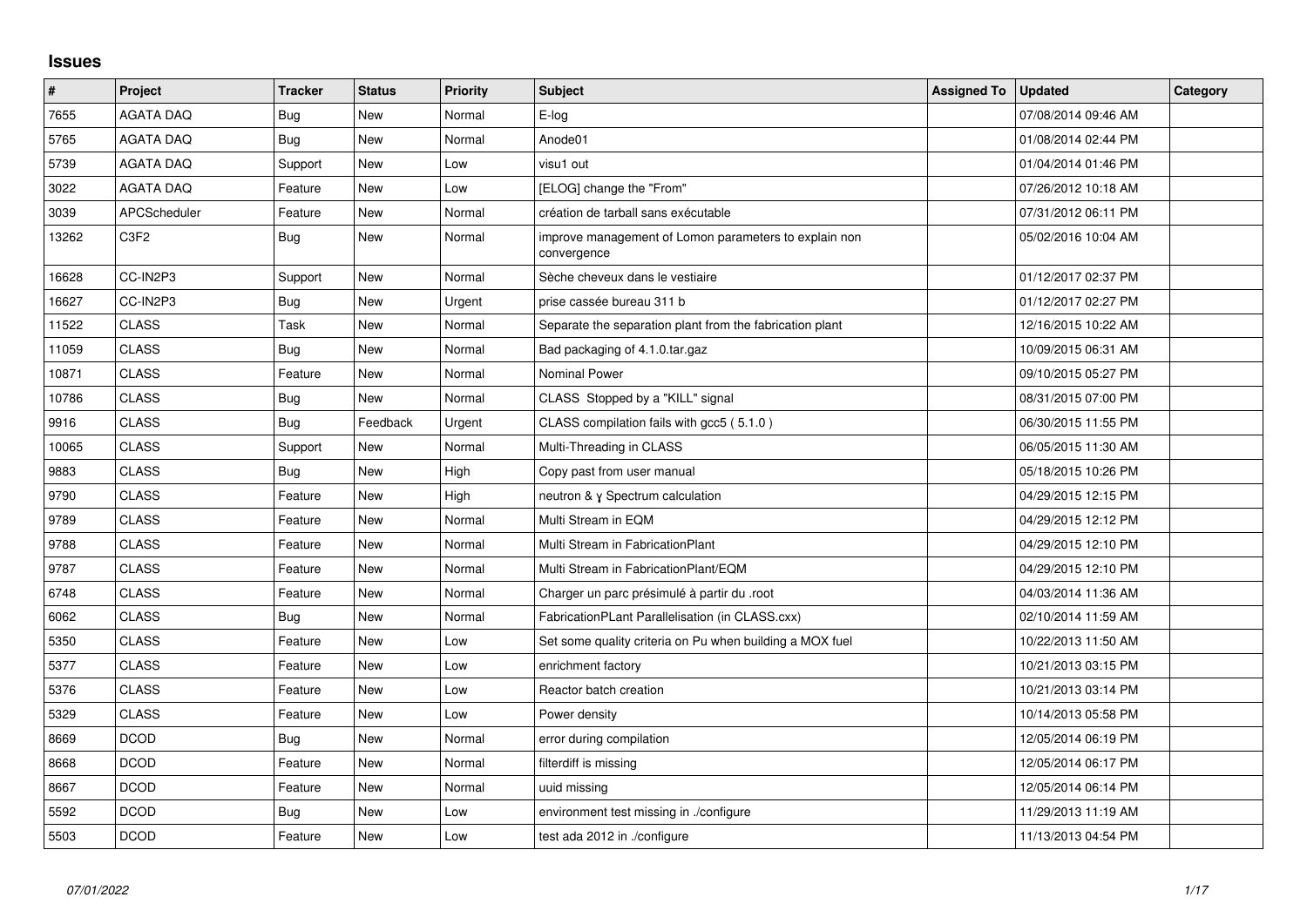## **Issues**

| $\vert$ # | Project             | <b>Tracker</b> | <b>Status</b> | <b>Priority</b> | <b>Subject</b>                                                       | <b>Assigned To</b> | <b>Updated</b>      | Category |
|-----------|---------------------|----------------|---------------|-----------------|----------------------------------------------------------------------|--------------------|---------------------|----------|
| 7655      | <b>AGATA DAQ</b>    | Bug            | <b>New</b>    | Normal          | E-log                                                                |                    | 07/08/2014 09:46 AM |          |
| 5765      | <b>AGATA DAQ</b>    | Bug            | <b>New</b>    | Normal          | Anode01                                                              |                    | 01/08/2014 02:44 PM |          |
| 5739      | <b>AGATA DAQ</b>    | Support        | <b>New</b>    | Low             | visu1 out                                                            |                    | 01/04/2014 01:46 PM |          |
| 3022      | <b>AGATA DAQ</b>    | Feature        | <b>New</b>    | Low             | [ELOG] change the "From"                                             |                    | 07/26/2012 10:18 AM |          |
| 3039      | <b>APCScheduler</b> | Feature        | <b>New</b>    | Normal          | création de tarball sans exécutable                                  |                    | 07/31/2012 06:11 PM |          |
| 13262     | C3F2                | Bug            | <b>New</b>    | Normal          | improve management of Lomon parameters to explain non<br>convergence |                    | 05/02/2016 10:04 AM |          |
| 16628     | CC-IN2P3            | Support        | <b>New</b>    | Normal          | Sèche cheveux dans le vestiaire                                      |                    | 01/12/2017 02:37 PM |          |
| 16627     | CC-IN2P3            | Bug            | <b>New</b>    | Urgent          | prise cassée bureau 311 b                                            |                    | 01/12/2017 02:27 PM |          |
| 11522     | CLASS               | Task           | <b>New</b>    | Normal          | Separate the separation plant from the fabrication plant             |                    | 12/16/2015 10:22 AM |          |
| 11059     | <b>CLASS</b>        | Bug            | <b>New</b>    | Normal          | Bad packaging of 4.1.0.tar.gaz                                       |                    | 10/09/2015 06:31 AM |          |
| 10871     | <b>CLASS</b>        | Feature        | <b>New</b>    | Normal          | <b>Nominal Power</b>                                                 |                    | 09/10/2015 05:27 PM |          |
| 10786     | <b>CLASS</b>        | Bug            | <b>New</b>    | Normal          | CLASS Stopped by a "KILL" signal                                     |                    | 08/31/2015 07:00 PM |          |
| 9916      | <b>CLASS</b>        | Bug            | Feedback      | Urgent          | CLASS compilation fails with gcc5 (5.1.0)                            |                    | 06/30/2015 11:55 PM |          |
| 10065     | <b>CLASS</b>        | Support        | <b>New</b>    | Normal          | Multi-Threading in CLASS                                             |                    | 06/05/2015 11:30 AM |          |
| 9883      | <b>CLASS</b>        | <b>Bug</b>     | <b>New</b>    | High            | Copy past from user manual                                           |                    | 05/18/2015 10:26 PM |          |
| 9790      | <b>CLASS</b>        | Feature        | <b>New</b>    | High            | neutron & y Spectrum calculation                                     |                    | 04/29/2015 12:15 PM |          |
| 9789      | <b>CLASS</b>        | Feature        | New           | Normal          | Multi Stream in EQM                                                  |                    | 04/29/2015 12:12 PM |          |
| 9788      | <b>CLASS</b>        | Feature        | New           | Normal          | Multi Stream in FabricationPlant                                     |                    | 04/29/2015 12:10 PM |          |
| 9787      | <b>CLASS</b>        | Feature        | <b>New</b>    | Normal          | Multi Stream in FabricationPlant/EQM                                 |                    | 04/29/2015 12:10 PM |          |
| 6748      | <b>CLASS</b>        | Feature        | <b>New</b>    | Normal          | Charger un parc présimulé à partir du .root                          |                    | 04/03/2014 11:36 AM |          |
| 6062      | <b>CLASS</b>        | Bug            | <b>New</b>    | Normal          | FabricationPLant Parallelisation (in CLASS.cxx)                      |                    | 02/10/2014 11:59 AM |          |
| 5350      | <b>CLASS</b>        | Feature        | <b>New</b>    | Low             | Set some quality criteria on Pu when building a MOX fuel             |                    | 10/22/2013 11:50 AM |          |
| 5377      | <b>CLASS</b>        | Feature        | <b>New</b>    | Low             | enrichment factory                                                   |                    | 10/21/2013 03:15 PM |          |
| 5376      | <b>CLASS</b>        | Feature        | <b>New</b>    | Low             | Reactor batch creation                                               |                    | 10/21/2013 03:14 PM |          |
| 5329      | <b>CLASS</b>        | Feature        | <b>New</b>    | Low             | Power density                                                        |                    | 10/14/2013 05:58 PM |          |
| 8669      | <b>DCOD</b>         | Bug            | <b>New</b>    | Normal          | error during compilation                                             |                    | 12/05/2014 06:19 PM |          |
| 8668      | <b>DCOD</b>         | Feature        | <b>New</b>    | Normal          | filterdiff is missing                                                |                    | 12/05/2014 06:17 PM |          |
| 8667      | <b>DCOD</b>         | Feature        | <b>New</b>    | Normal          | uuid missing                                                         |                    | 12/05/2014 06:14 PM |          |
| 5592      | <b>DCOD</b>         | Bug            | <b>New</b>    | Low             | environment test missing in ./configure                              |                    | 11/29/2013 11:19 AM |          |
| 5503      | <b>DCOD</b>         | Feature        | <b>New</b>    | Low             | test ada 2012 in ./configure                                         |                    | 11/13/2013 04:54 PM |          |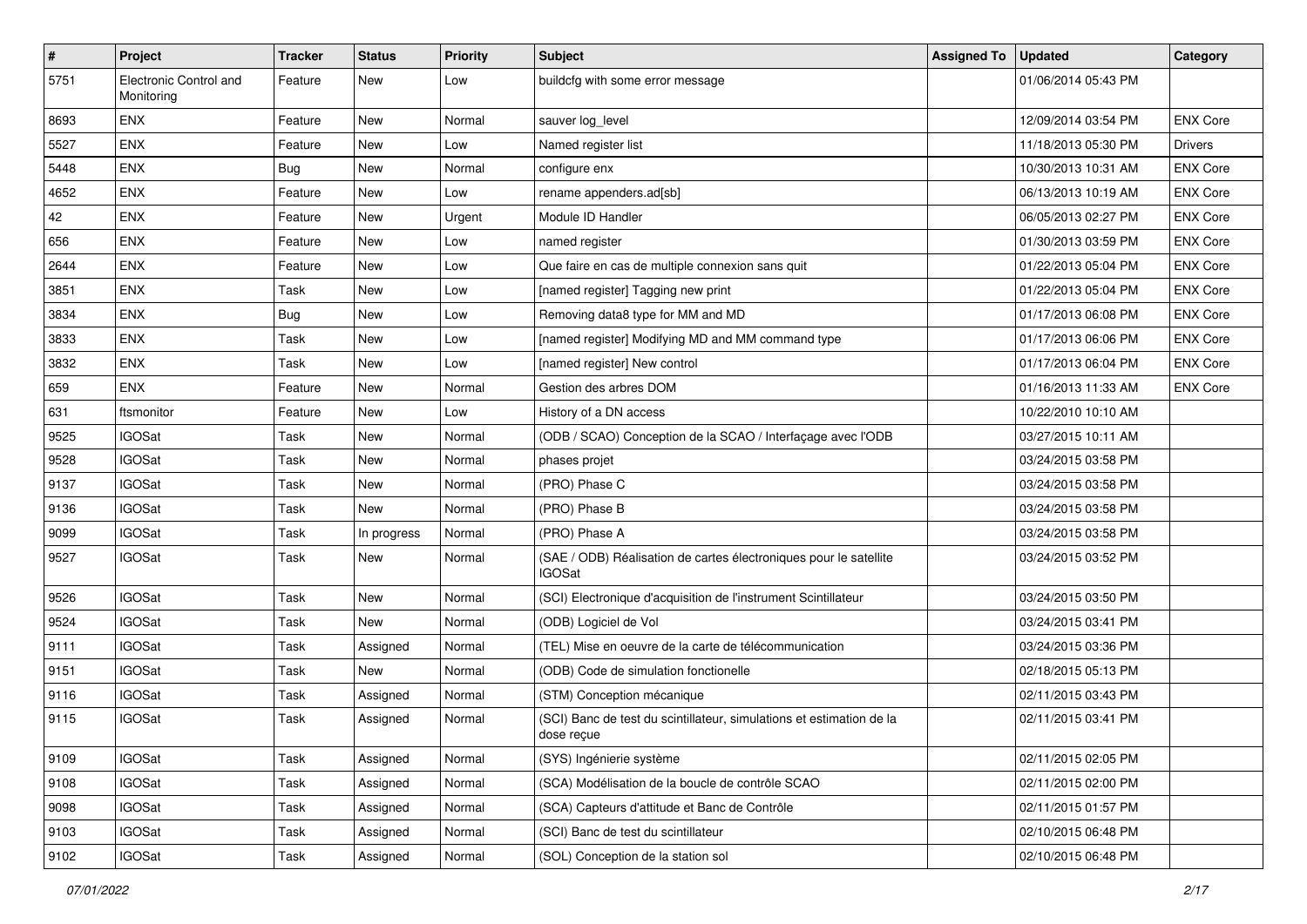| $\vert$ # | Project                              | <b>Tracker</b> | <b>Status</b> | <b>Priority</b> | <b>Subject</b>                                                                     | <b>Assigned To</b> | <b>Updated</b>      | Category        |
|-----------|--------------------------------------|----------------|---------------|-----------------|------------------------------------------------------------------------------------|--------------------|---------------------|-----------------|
| 5751      | Electronic Control and<br>Monitoring | Feature        | New           | Low             | buildcfg with some error message                                                   |                    | 01/06/2014 05:43 PM |                 |
| 8693      | <b>ENX</b>                           | Feature        | New           | Normal          | sauver log_level                                                                   |                    | 12/09/2014 03:54 PM | <b>ENX Core</b> |
| 5527      | <b>ENX</b>                           | Feature        | New           | Low             | Named register list                                                                |                    | 11/18/2013 05:30 PM | <b>Drivers</b>  |
| 5448      | <b>ENX</b>                           | Bug            | <b>New</b>    | Normal          | configure enx                                                                      |                    | 10/30/2013 10:31 AM | <b>ENX Core</b> |
| 4652      | <b>ENX</b>                           | Feature        | <b>New</b>    | Low             | rename appenders.ad[sb]                                                            |                    | 06/13/2013 10:19 AM | <b>ENX Core</b> |
| 42        | <b>ENX</b>                           | Feature        | <b>New</b>    | Urgent          | Module ID Handler                                                                  |                    | 06/05/2013 02:27 PM | <b>ENX Core</b> |
| 656       | <b>ENX</b>                           | Feature        | <b>New</b>    | Low             | named register                                                                     |                    | 01/30/2013 03:59 PM | <b>ENX Core</b> |
| 2644      | <b>ENX</b>                           | Feature        | New           | Low             | Que faire en cas de multiple connexion sans quit                                   |                    | 01/22/2013 05:04 PM | <b>ENX Core</b> |
| 3851      | <b>ENX</b>                           | Task           | <b>New</b>    | Low             | [named register] Tagging new print                                                 |                    | 01/22/2013 05:04 PM | <b>ENX Core</b> |
| 3834      | <b>ENX</b>                           | Bug            | <b>New</b>    | Low             | Removing data8 type for MM and MD                                                  |                    | 01/17/2013 06:08 PM | <b>ENX Core</b> |
| 3833      | <b>ENX</b>                           | Task           | <b>New</b>    | Low             | [named register] Modifying MD and MM command type                                  |                    | 01/17/2013 06:06 PM | <b>ENX Core</b> |
| 3832      | <b>ENX</b>                           | Task           | <b>New</b>    | Low             | [named register] New control                                                       |                    | 01/17/2013 06:04 PM | <b>ENX Core</b> |
| 659       | <b>ENX</b>                           | Feature        | <b>New</b>    | Normal          | Gestion des arbres DOM                                                             |                    | 01/16/2013 11:33 AM | <b>ENX Core</b> |
| 631       | ftsmonitor                           | Feature        | <b>New</b>    | Low             | History of a DN access                                                             |                    | 10/22/2010 10:10 AM |                 |
| 9525      | <b>IGOSat</b>                        | Task           | <b>New</b>    | Normal          | (ODB / SCAO) Conception de la SCAO / Interfaçage avec l'ODB                        |                    | 03/27/2015 10:11 AM |                 |
| 9528      | <b>IGOSat</b>                        | Task           | <b>New</b>    | Normal          | phases projet                                                                      |                    | 03/24/2015 03:58 PM |                 |
| 9137      | <b>IGOSat</b>                        | Task           | <b>New</b>    | Normal          | (PRO) Phase C                                                                      |                    | 03/24/2015 03:58 PM |                 |
| 9136      | <b>IGOSat</b>                        | Task           | <b>New</b>    | Normal          | (PRO) Phase B                                                                      |                    | 03/24/2015 03:58 PM |                 |
| 9099      | <b>IGOSat</b>                        | Task           | In progress   | Normal          | (PRO) Phase A                                                                      |                    | 03/24/2015 03:58 PM |                 |
| 9527      | <b>IGOSat</b>                        | Task           | <b>New</b>    | Normal          | (SAE / ODB) Réalisation de cartes électroniques pour le satellite<br><b>IGOSat</b> |                    | 03/24/2015 03:52 PM |                 |
| 9526      | <b>IGOSat</b>                        | Task           | New           | Normal          | (SCI) Electronique d'acquisition de l'instrument Scintillateur                     |                    | 03/24/2015 03:50 PM |                 |
| 9524      | <b>IGOSat</b>                        | Task           | <b>New</b>    | Normal          | (ODB) Logiciel de Vol                                                              |                    | 03/24/2015 03:41 PM |                 |
| 9111      | <b>IGOSat</b>                        | Task           | Assigned      | Normal          | (TEL) Mise en oeuvre de la carte de télécommunication                              |                    | 03/24/2015 03:36 PM |                 |
| 9151      | <b>IGOSat</b>                        | Task           | <b>New</b>    | Normal          | (ODB) Code de simulation fonctionelle                                              |                    | 02/18/2015 05:13 PM |                 |
| 9116      | <b>IGOSat</b>                        | Task           | Assigned      | Normal          | (STM) Conception mécanique                                                         |                    | 02/11/2015 03:43 PM |                 |
| 9115      | <b>IGOSat</b>                        | Task           | Assigned      | Normal          | (SCI) Banc de test du scintillateur, simulations et estimation de la<br>dose reçue |                    | 02/11/2015 03:41 PM |                 |
| 9109      | <b>IGOSat</b>                        | Task           | Assigned      | Normal          | (SYS) Ingénierie système                                                           |                    | 02/11/2015 02:05 PM |                 |
| 9108      | <b>IGOSat</b>                        | Task           | Assigned      | Normal          | (SCA) Modélisation de la boucle de contrôle SCAO                                   |                    | 02/11/2015 02:00 PM |                 |
| 9098      | <b>IGOSat</b>                        | Task           | Assigned      | Normal          | (SCA) Capteurs d'attitude et Banc de Contrôle                                      |                    | 02/11/2015 01:57 PM |                 |
| 9103      | <b>IGOSat</b>                        | Task           | Assigned      | Normal          | (SCI) Banc de test du scintillateur                                                |                    | 02/10/2015 06:48 PM |                 |
| 9102      | <b>IGOSat</b>                        | Task           | Assigned      | Normal          | (SOL) Conception de la station sol                                                 |                    | 02/10/2015 06:48 PM |                 |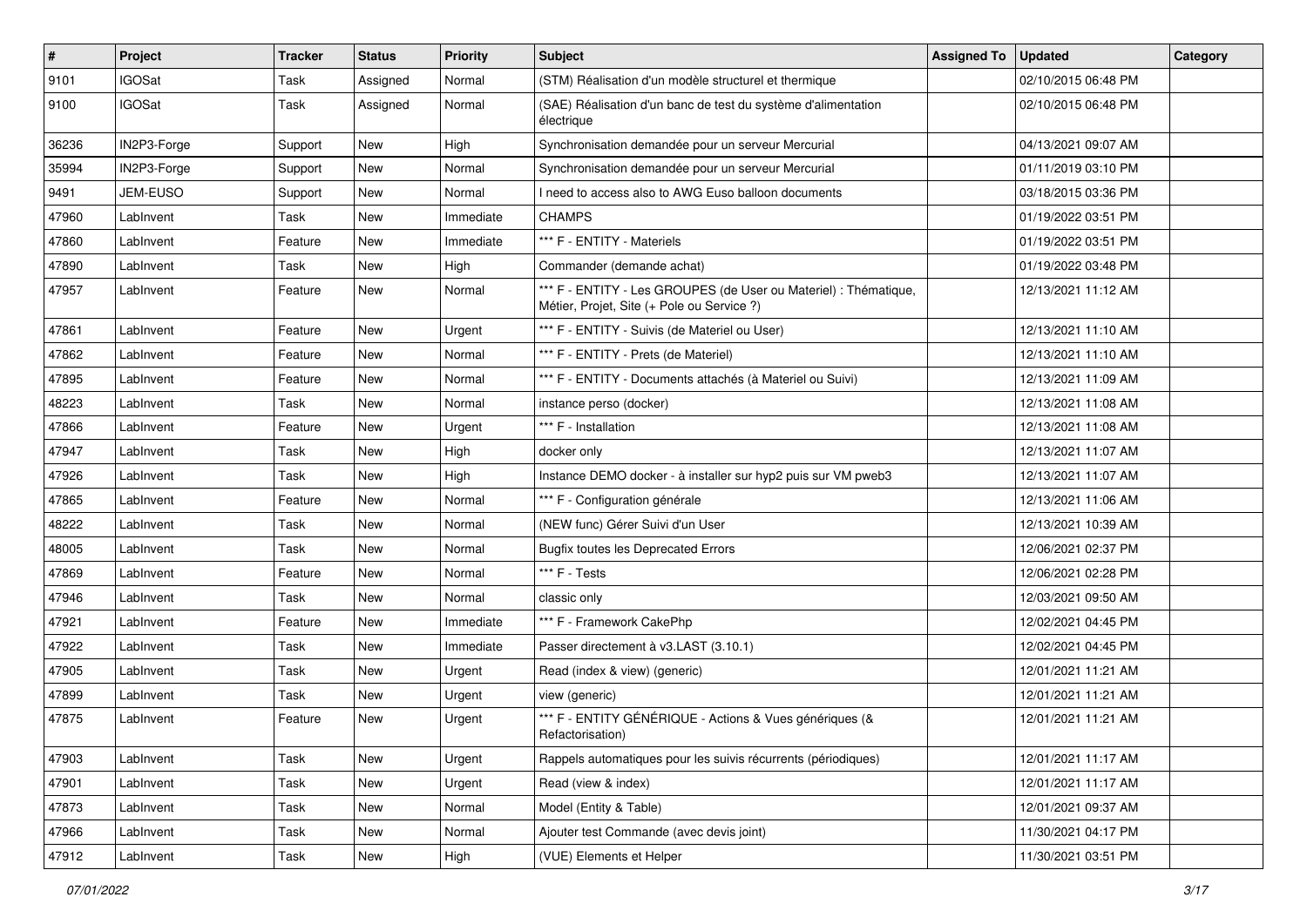| $\sharp$ | Project       | <b>Tracker</b> | <b>Status</b> | <b>Priority</b> | Subject                                                                                                        | <b>Assigned To</b> | <b>Updated</b>      | Category |
|----------|---------------|----------------|---------------|-----------------|----------------------------------------------------------------------------------------------------------------|--------------------|---------------------|----------|
| 9101     | <b>IGOSat</b> | Task           | Assigned      | Normal          | (STM) Réalisation d'un modèle structurel et thermique                                                          |                    | 02/10/2015 06:48 PM |          |
| 9100     | <b>IGOSat</b> | Task           | Assigned      | Normal          | (SAE) Réalisation d'un banc de test du système d'alimentation<br>électrique                                    |                    | 02/10/2015 06:48 PM |          |
| 36236    | IN2P3-Forge   | Support        | <b>New</b>    | High            | Synchronisation demandée pour un serveur Mercurial                                                             |                    | 04/13/2021 09:07 AM |          |
| 35994    | IN2P3-Forge   | Support        | <b>New</b>    | Normal          | Synchronisation demandée pour un serveur Mercurial                                                             |                    | 01/11/2019 03:10 PM |          |
| 9491     | JEM-EUSO      | Support        | New           | Normal          | I need to access also to AWG Euso balloon documents                                                            |                    | 03/18/2015 03:36 PM |          |
| 47960    | LabInvent     | Task           | New           | Immediate       | <b>CHAMPS</b>                                                                                                  |                    | 01/19/2022 03:51 PM |          |
| 47860    | LabInvent     | Feature        | New           | Immediate       | *** F - ENTITY - Materiels                                                                                     |                    | 01/19/2022 03:51 PM |          |
| 47890    | LabInvent     | Task           | New           | High            | Commander (demande achat)                                                                                      |                    | 01/19/2022 03:48 PM |          |
| 47957    | LabInvent     | Feature        | <b>New</b>    | Normal          | *** F - ENTITY - Les GROUPES (de User ou Materiel) : Thématique,<br>Métier, Projet, Site (+ Pole ou Service ?) |                    | 12/13/2021 11:12 AM |          |
| 47861    | LabInvent     | Feature        | <b>New</b>    | Urgent          | *** F - ENTITY - Suivis (de Materiel ou User)                                                                  |                    | 12/13/2021 11:10 AM |          |
| 47862    | LabInvent     | Feature        | New           | Normal          | *** F - ENTITY - Prets (de Materiel)                                                                           |                    | 12/13/2021 11:10 AM |          |
| 47895    | LabInvent     | Feature        | New           | Normal          | *** F - ENTITY - Documents attachés (à Materiel ou Suivi)                                                      |                    | 12/13/2021 11:09 AM |          |
| 48223    | LabInvent     | Task           | <b>New</b>    | Normal          | instance perso (docker)                                                                                        |                    | 12/13/2021 11:08 AM |          |
| 47866    | LabInvent     | Feature        | New           | Urgent          | *** F - Installation                                                                                           |                    | 12/13/2021 11:08 AM |          |
| 47947    | LabInvent     | Task           | New           | High            | docker only                                                                                                    |                    | 12/13/2021 11:07 AM |          |
| 47926    | LabInvent     | Task           | <b>New</b>    | High            | Instance DEMO docker - à installer sur hyp2 puis sur VM pweb3                                                  |                    | 12/13/2021 11:07 AM |          |
| 47865    | LabInvent     | Feature        | New           | Normal          | *** F - Configuration générale                                                                                 |                    | 12/13/2021 11:06 AM |          |
| 48222    | LabInvent     | Task           | New           | Normal          | (NEW func) Gérer Suivi d'un User                                                                               |                    | 12/13/2021 10:39 AM |          |
| 48005    | LabInvent     | Task           | New           | Normal          | <b>Bugfix toutes les Deprecated Errors</b>                                                                     |                    | 12/06/2021 02:37 PM |          |
| 47869    | LabInvent     | Feature        | New           | Normal          | *** F - Tests                                                                                                  |                    | 12/06/2021 02:28 PM |          |
| 47946    | LabInvent     | Task           | <b>New</b>    | Normal          | classic only                                                                                                   |                    | 12/03/2021 09:50 AM |          |
| 47921    | LabInvent     | Feature        | New           | Immediate       | *** F - Framework CakePhp                                                                                      |                    | 12/02/2021 04:45 PM |          |
| 47922    | LabInvent     | Task           | New           | Immediate       | Passer directement à v3.LAST (3.10.1)                                                                          |                    | 12/02/2021 04:45 PM |          |
| 47905    | LabInvent     | Task           | New           | Urgent          | Read (index & view) (generic)                                                                                  |                    | 12/01/2021 11:21 AM |          |
| 47899    | LabInvent     | Task           | New           | Urgent          | view (generic)                                                                                                 |                    | 12/01/2021 11:21 AM |          |
| 47875    | LabInvent     | Feature        | New           | Urgent          | *** F - ENTITY GÉNÉRIQUE - Actions & Vues génériques (&<br>Refactorisation)                                    |                    | 12/01/2021 11:21 AM |          |
| 47903    | LabInvent     | Task           | New           | Urgent          | Rappels automatiques pour les suivis récurrents (périodiques)                                                  |                    | 12/01/2021 11:17 AM |          |
| 47901    | LabInvent     | Task           | New           | Urgent          | Read (view & index)                                                                                            |                    | 12/01/2021 11:17 AM |          |
| 47873    | LabInvent     | Task           | New           | Normal          | Model (Entity & Table)                                                                                         |                    | 12/01/2021 09:37 AM |          |
| 47966    | LabInvent     | Task           | New           | Normal          | Ajouter test Commande (avec devis joint)                                                                       |                    | 11/30/2021 04:17 PM |          |
| 47912    | LabInvent     | Task           | New           | High            | (VUE) Elements et Helper                                                                                       |                    | 11/30/2021 03:51 PM |          |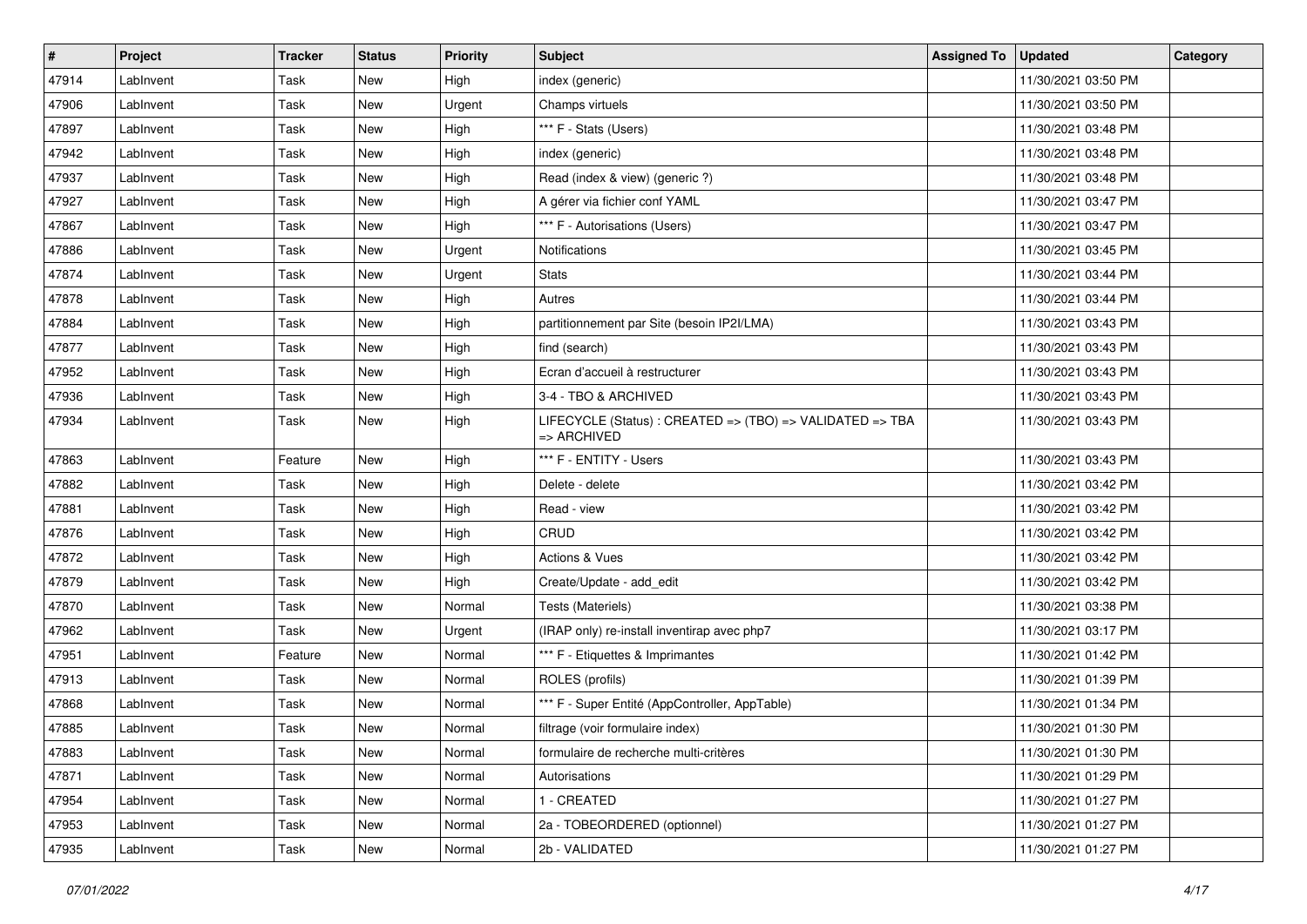| #     | Project   | <b>Tracker</b> | <b>Status</b> | <b>Priority</b> | Subject                                                                             | <b>Assigned To</b> | <b>Updated</b>      | Category |
|-------|-----------|----------------|---------------|-----------------|-------------------------------------------------------------------------------------|--------------------|---------------------|----------|
| 47914 | LabInvent | Task           | New           | High            | index (generic)                                                                     |                    | 11/30/2021 03:50 PM |          |
| 47906 | LabInvent | Task           | <b>New</b>    | Urgent          | Champs virtuels                                                                     |                    | 11/30/2021 03:50 PM |          |
| 47897 | LabInvent | Task           | New           | High            | *** F - Stats (Users)                                                               |                    | 11/30/2021 03:48 PM |          |
| 47942 | LabInvent | Task           | New           | High            | index (generic)                                                                     |                    | 11/30/2021 03:48 PM |          |
| 47937 | LabInvent | Task           | <b>New</b>    | High            | Read (index & view) (generic ?)                                                     |                    | 11/30/2021 03:48 PM |          |
| 47927 | LabInvent | Task           | <b>New</b>    | High            | A gérer via fichier conf YAML                                                       |                    | 11/30/2021 03:47 PM |          |
| 47867 | LabInvent | Task           | <b>New</b>    | High            | *** F - Autorisations (Users)                                                       |                    | 11/30/2021 03:47 PM |          |
| 47886 | LabInvent | Task           | New           | Urgent          | Notifications                                                                       |                    | 11/30/2021 03:45 PM |          |
| 47874 | LabInvent | Task           | New           | Urgent          | <b>Stats</b>                                                                        |                    | 11/30/2021 03:44 PM |          |
| 47878 | LabInvent | Task           | <b>New</b>    | High            | Autres                                                                              |                    | 11/30/2021 03:44 PM |          |
| 47884 | LabInvent | Task           | New           | High            | partitionnement par Site (besoin IP2I/LMA)                                          |                    | 11/30/2021 03:43 PM |          |
| 47877 | LabInvent | Task           | New           | High            | find (search)                                                                       |                    | 11/30/2021 03:43 PM |          |
| 47952 | LabInvent | Task           | New           | High            | Ecran d'accueil à restructurer                                                      |                    | 11/30/2021 03:43 PM |          |
| 47936 | LabInvent | Task           | New           | High            | 3-4 - TBO & ARCHIVED                                                                |                    | 11/30/2021 03:43 PM |          |
| 47934 | LabInvent | Task           | New           | High            | LIFECYCLE (Status) : CREATED => (TBO) => VALIDATED => TBA<br>$\Rightarrow$ ARCHIVED |                    | 11/30/2021 03:43 PM |          |
| 47863 | LabInvent | Feature        | <b>New</b>    | High            | *** F - ENTITY - Users                                                              |                    | 11/30/2021 03:43 PM |          |
| 47882 | LabInvent | Task           | <b>New</b>    | High            | Delete - delete                                                                     |                    | 11/30/2021 03:42 PM |          |
| 47881 | LabInvent | Task           | New           | High            | Read - view                                                                         |                    | 11/30/2021 03:42 PM |          |
| 47876 | LabInvent | Task           | New           | High            | CRUD                                                                                |                    | 11/30/2021 03:42 PM |          |
| 47872 | LabInvent | Task           | New           | High            | Actions & Vues                                                                      |                    | 11/30/2021 03:42 PM |          |
| 47879 | LabInvent | Task           | New           | High            | Create/Update - add_edit                                                            |                    | 11/30/2021 03:42 PM |          |
| 47870 | LabInvent | Task           | <b>New</b>    | Normal          | Tests (Materiels)                                                                   |                    | 11/30/2021 03:38 PM |          |
| 47962 | LabInvent | Task           | New           | Urgent          | (IRAP only) re-install inventirap avec php7                                         |                    | 11/30/2021 03:17 PM |          |
| 47951 | LabInvent | Feature        | New           | Normal          | *** F - Etiquettes & Imprimantes                                                    |                    | 11/30/2021 01:42 PM |          |
| 47913 | LabInvent | Task           | New           | Normal          | ROLES (profils)                                                                     |                    | 11/30/2021 01:39 PM |          |
| 47868 | LabInvent | Task           | New           | Normal          | *** F - Super Entité (AppController, AppTable)                                      |                    | 11/30/2021 01:34 PM |          |
| 47885 | LabInvent | Task           | <b>New</b>    | Normal          | filtrage (voir formulaire index)                                                    |                    | 11/30/2021 01:30 PM |          |
| 47883 | LabInvent | Task           | New           | Normal          | formulaire de recherche multi-critères                                              |                    | 11/30/2021 01:30 PM |          |
| 47871 | LabInvent | Task           | New           | Normal          | Autorisations                                                                       |                    | 11/30/2021 01:29 PM |          |
| 47954 | LabInvent | Task           | <b>New</b>    | Normal          | 1 - CREATED                                                                         |                    | 11/30/2021 01:27 PM |          |
| 47953 | LabInvent | Task           | New           | Normal          | 2a - TOBEORDERED (optionnel)                                                        |                    | 11/30/2021 01:27 PM |          |
| 47935 | LabInvent | Task           | New           | Normal          | 2b - VALIDATED                                                                      |                    | 11/30/2021 01:27 PM |          |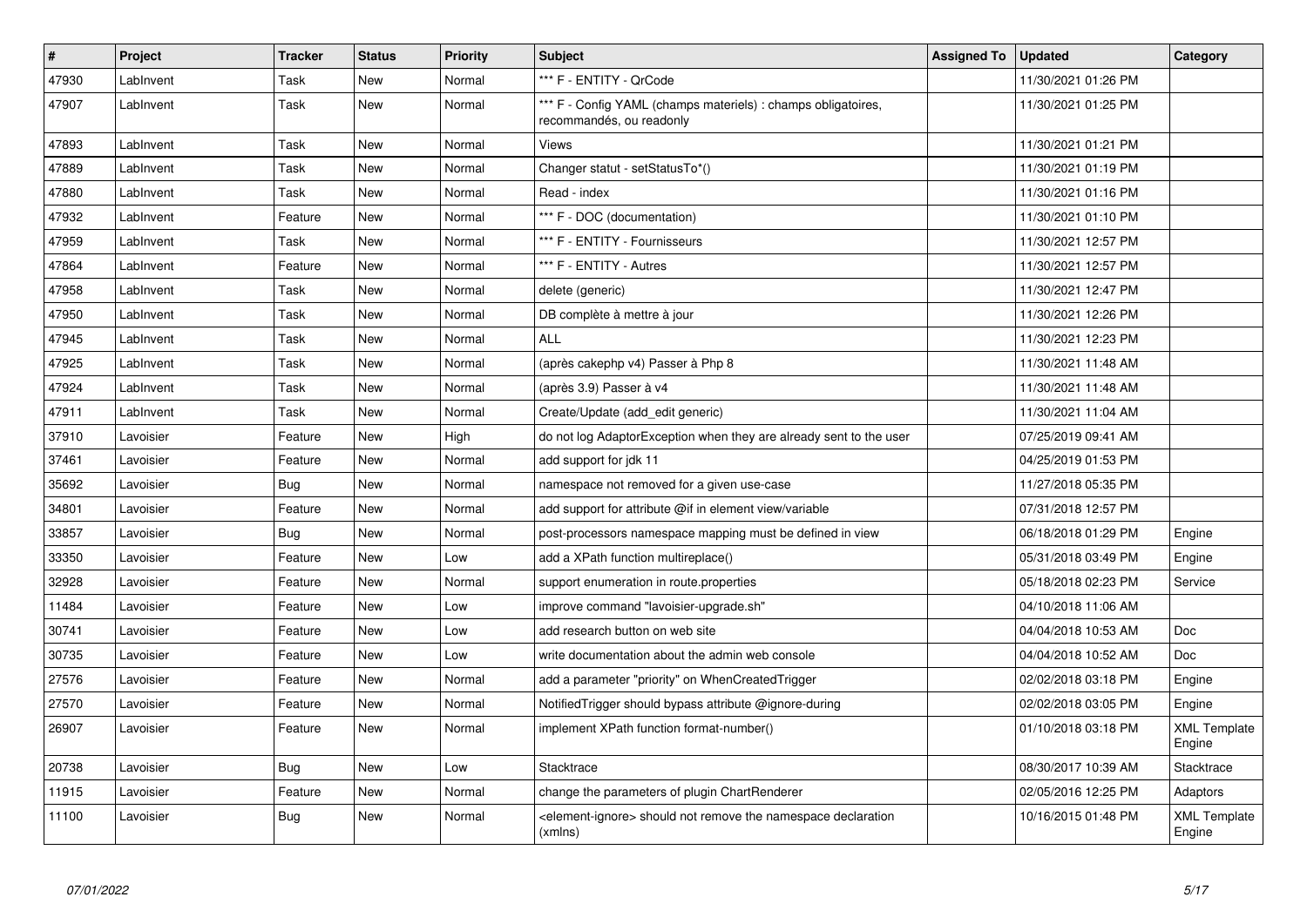| $\vert$ # | Project   | <b>Tracker</b> | <b>Status</b> | <b>Priority</b> | <b>Subject</b>                                                                            | <b>Assigned To</b> | <b>Updated</b>      | Category                      |
|-----------|-----------|----------------|---------------|-----------------|-------------------------------------------------------------------------------------------|--------------------|---------------------|-------------------------------|
| 47930     | LabInvent | Task           | New           | Normal          | *** F - ENTITY - QrCode                                                                   |                    | 11/30/2021 01:26 PM |                               |
| 47907     | LabInvent | Task           | <b>New</b>    | Normal          | *** F - Config YAML (champs materiels) : champs obligatoires,<br>recommandés, ou readonly |                    | 11/30/2021 01:25 PM |                               |
| 47893     | LabInvent | Task           | New           | Normal          | Views                                                                                     |                    | 11/30/2021 01:21 PM |                               |
| 47889     | LabInvent | Task           | New           | Normal          | Changer statut - setStatusTo*()                                                           |                    | 11/30/2021 01:19 PM |                               |
| 47880     | LabInvent | Task           | New           | Normal          | Read - index                                                                              |                    | 11/30/2021 01:16 PM |                               |
| 47932     | LabInvent | Feature        | New           | Normal          | *** F - DOC (documentation)                                                               |                    | 11/30/2021 01:10 PM |                               |
| 47959     | LabInvent | Task           | New           | Normal          | *** F - ENTITY - Fournisseurs                                                             |                    | 11/30/2021 12:57 PM |                               |
| 47864     | LabInvent | Feature        | <b>New</b>    | Normal          | *** F - ENTITY - Autres                                                                   |                    | 11/30/2021 12:57 PM |                               |
| 47958     | LabInvent | Task           | <b>New</b>    | Normal          | delete (generic)                                                                          |                    | 11/30/2021 12:47 PM |                               |
| 47950     | LabInvent | Task           | <b>New</b>    | Normal          | DB complète à mettre à jour                                                               |                    | 11/30/2021 12:26 PM |                               |
| 47945     | LabInvent | Task           | <b>New</b>    | Normal          | <b>ALL</b>                                                                                |                    | 11/30/2021 12:23 PM |                               |
| 47925     | LabInvent | Task           | <b>New</b>    | Normal          | (après cakephp v4) Passer à Php 8                                                         |                    | 11/30/2021 11:48 AM |                               |
| 47924     | LabInvent | Task           | <b>New</b>    | Normal          | (après 3.9) Passer à v4                                                                   |                    | 11/30/2021 11:48 AM |                               |
| 47911     | LabInvent | Task           | <b>New</b>    | Normal          | Create/Update (add edit generic)                                                          |                    | 11/30/2021 11:04 AM |                               |
| 37910     | Lavoisier | Feature        | New           | High            | do not log AdaptorException when they are already sent to the user                        |                    | 07/25/2019 09:41 AM |                               |
| 37461     | Lavoisier | Feature        | <b>New</b>    | Normal          | add support for jdk 11                                                                    |                    | 04/25/2019 01:53 PM |                               |
| 35692     | Lavoisier | Bug            | New           | Normal          | namespace not removed for a given use-case                                                |                    | 11/27/2018 05:35 PM |                               |
| 34801     | Lavoisier | Feature        | New           | Normal          | add support for attribute @if in element view/variable                                    |                    | 07/31/2018 12:57 PM |                               |
| 33857     | Lavoisier | <b>Bug</b>     | New           | Normal          | post-processors namespace mapping must be defined in view                                 |                    | 06/18/2018 01:29 PM | Engine                        |
| 33350     | Lavoisier | Feature        | New           | Low             | add a XPath function multireplace()                                                       |                    | 05/31/2018 03:49 PM | Engine                        |
| 32928     | Lavoisier | Feature        | New           | Normal          | support enumeration in route properties                                                   |                    | 05/18/2018 02:23 PM | Service                       |
| 11484     | Lavoisier | Feature        | New           | Low             | improve command "lavoisier-upgrade.sh"                                                    |                    | 04/10/2018 11:06 AM |                               |
| 30741     | Lavoisier | Feature        | New           | Low             | add research button on web site                                                           |                    | 04/04/2018 10:53 AM | Doc                           |
| 30735     | Lavoisier | Feature        | <b>New</b>    | Low             | write documentation about the admin web console                                           |                    | 04/04/2018 10:52 AM | <b>Doc</b>                    |
| 27576     | Lavoisier | Feature        | <b>New</b>    | Normal          | add a parameter "priority" on WhenCreatedTrigger                                          |                    | 02/02/2018 03:18 PM | Engine                        |
| 27570     | Lavoisier | Feature        | <b>New</b>    | Normal          | Notified Trigger should bypass attribute @ignore-during                                   |                    | 02/02/2018 03:05 PM | Engine                        |
| 26907     | Lavoisier | Feature        | <b>New</b>    | Normal          | implement XPath function format-number()                                                  |                    | 01/10/2018 03:18 PM | <b>XML Template</b><br>Engine |
| 20738     | Lavoisier | <b>Bug</b>     | New           | Low             | Stacktrace                                                                                |                    | 08/30/2017 10:39 AM | <b>Stacktrace</b>             |
| 11915     | Lavoisier | Feature        | <b>New</b>    | Normal          | change the parameters of plugin ChartRenderer                                             |                    | 02/05/2016 12:25 PM | Adaptors                      |
| 11100     | Lavoisier | <b>Bug</b>     | New           | Normal          | <element-ignore> should not remove the namespace declaration<br/>(xmlns)</element-ignore> |                    | 10/16/2015 01:48 PM | XML Template<br>Engine        |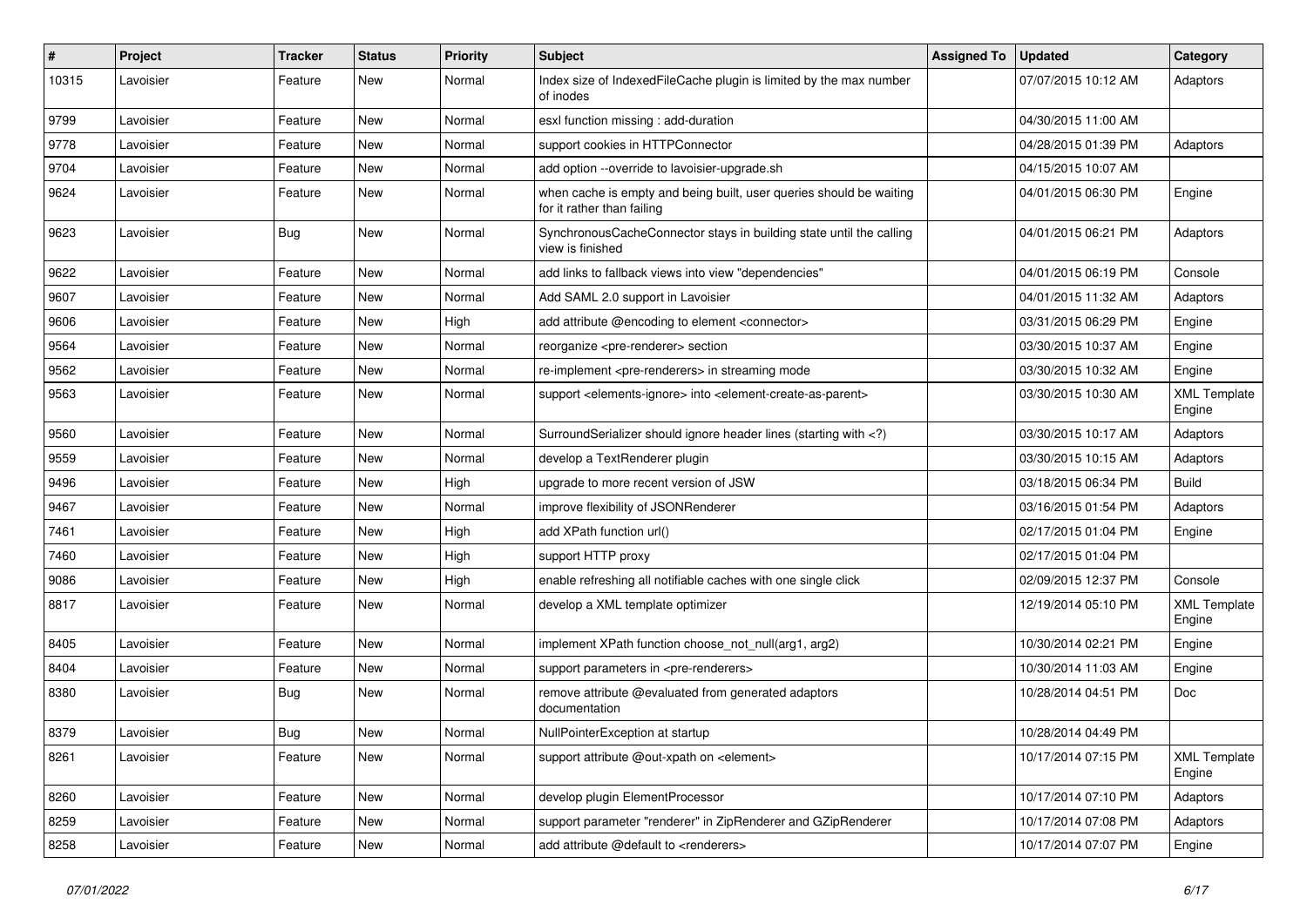| $\pmb{\#}$ | Project   | <b>Tracker</b> | <b>Status</b> | <b>Priority</b> | <b>Subject</b>                                                                                                              | <b>Assigned To</b> | <b>Updated</b>      | Category                      |
|------------|-----------|----------------|---------------|-----------------|-----------------------------------------------------------------------------------------------------------------------------|--------------------|---------------------|-------------------------------|
| 10315      | Lavoisier | Feature        | New           | Normal          | Index size of IndexedFileCache plugin is limited by the max number<br>of inodes                                             |                    | 07/07/2015 10:12 AM | Adaptors                      |
| 9799       | Lavoisier | Feature        | New           | Normal          | esxl function missing: add-duration                                                                                         |                    | 04/30/2015 11:00 AM |                               |
| 9778       | Lavoisier | Feature        | New           | Normal          | support cookies in HTTPConnector                                                                                            |                    | 04/28/2015 01:39 PM | Adaptors                      |
| 9704       | Lavoisier | Feature        | New           | Normal          | add option --override to lavoisier-upgrade.sh                                                                               |                    | 04/15/2015 10:07 AM |                               |
| 9624       | Lavoisier | Feature        | New           | Normal          | when cache is empty and being built, user queries should be waiting<br>for it rather than failing                           |                    | 04/01/2015 06:30 PM | Engine                        |
| 9623       | Lavoisier | Bug            | New           | Normal          | SynchronousCacheConnector stays in building state until the calling<br>view is finished                                     |                    | 04/01/2015 06:21 PM | Adaptors                      |
| 9622       | Lavoisier | Feature        | New           | Normal          | add links to fallback views into view "dependencies"                                                                        |                    | 04/01/2015 06:19 PM | Console                       |
| 9607       | Lavoisier | Feature        | New           | Normal          | Add SAML 2.0 support in Lavoisier                                                                                           |                    | 04/01/2015 11:32 AM | Adaptors                      |
| 9606       | Lavoisier | Feature        | New           | High            | add attribute @encoding to element <connector></connector>                                                                  |                    | 03/31/2015 06:29 PM | Engine                        |
| 9564       | Lavoisier | Feature        | New           | Normal          | reorganize <pre-renderer> section</pre-renderer>                                                                            |                    | 03/30/2015 10:37 AM | Engine                        |
| 9562       | Lavoisier | Feature        | New           | Normal          | re-implement <pre-renderers> in streaming mode</pre-renderers>                                                              |                    | 03/30/2015 10:32 AM | Engine                        |
| 9563       | Lavoisier | Feature        | New           | Normal          | support <elements-ignore> into <element-create-as-parent></element-create-as-parent></elements-ignore>                      |                    | 03/30/2015 10:30 AM | <b>XML Template</b><br>Engine |
| 9560       | Lavoisier | Feature        | New           | Normal          | SurroundSerializer should ignore header lines (starting with )</td <td></td> <td>03/30/2015 10:17 AM</td> <td>Adaptors</td> |                    | 03/30/2015 10:17 AM | Adaptors                      |
| 9559       | Lavoisier | Feature        | New           | Normal          | develop a TextRenderer plugin                                                                                               |                    | 03/30/2015 10:15 AM | Adaptors                      |
| 9496       | Lavoisier | Feature        | New           | High            | upgrade to more recent version of JSW                                                                                       |                    | 03/18/2015 06:34 PM | Build                         |
| 9467       | Lavoisier | Feature        | New           | Normal          | improve flexibility of JSONRenderer                                                                                         |                    | 03/16/2015 01:54 PM | Adaptors                      |
| 7461       | Lavoisier | Feature        | New           | High            | add XPath function url()                                                                                                    |                    | 02/17/2015 01:04 PM | Engine                        |
| 7460       | Lavoisier | Feature        | New           | High            | support HTTP proxy                                                                                                          |                    | 02/17/2015 01:04 PM |                               |
| 9086       | Lavoisier | Feature        | New           | High            | enable refreshing all notifiable caches with one single click                                                               |                    | 02/09/2015 12:37 PM | Console                       |
| 8817       | Lavoisier | Feature        | New           | Normal          | develop a XML template optimizer                                                                                            |                    | 12/19/2014 05:10 PM | <b>XML Template</b><br>Engine |
| 8405       | Lavoisier | Feature        | New           | Normal          | implement XPath function choose_not_null(arg1, arg2)                                                                        |                    | 10/30/2014 02:21 PM | Engine                        |
| 8404       | Lavoisier | Feature        | New           | Normal          | support parameters in <pre-renderers></pre-renderers>                                                                       |                    | 10/30/2014 11:03 AM | Engine                        |
| 8380       | Lavoisier | <b>Bug</b>     | New           | Normal          | remove attribute @evaluated from generated adaptors<br>documentation                                                        |                    | 10/28/2014 04:51 PM | Doc                           |
| 8379       | Lavoisier | Bug            | New           | Normal          | NullPointerException at startup                                                                                             |                    | 10/28/2014 04:49 PM |                               |
| 8261       | Lavoisier | Feature        | New           | Normal          | support attribute @out-xpath on <element></element>                                                                         |                    | 10/17/2014 07:15 PM | <b>XML Template</b><br>Engine |
| 8260       | Lavoisier | Feature        | New           | Normal          | develop plugin ElementProcessor                                                                                             |                    | 10/17/2014 07:10 PM | Adaptors                      |
| 8259       | Lavoisier | Feature        | New           | Normal          | support parameter "renderer" in ZipRenderer and GZipRenderer                                                                |                    | 10/17/2014 07:08 PM | Adaptors                      |
| 8258       | Lavoisier | Feature        | New           | Normal          | add attribute @default to <renderers></renderers>                                                                           |                    | 10/17/2014 07:07 PM | Engine                        |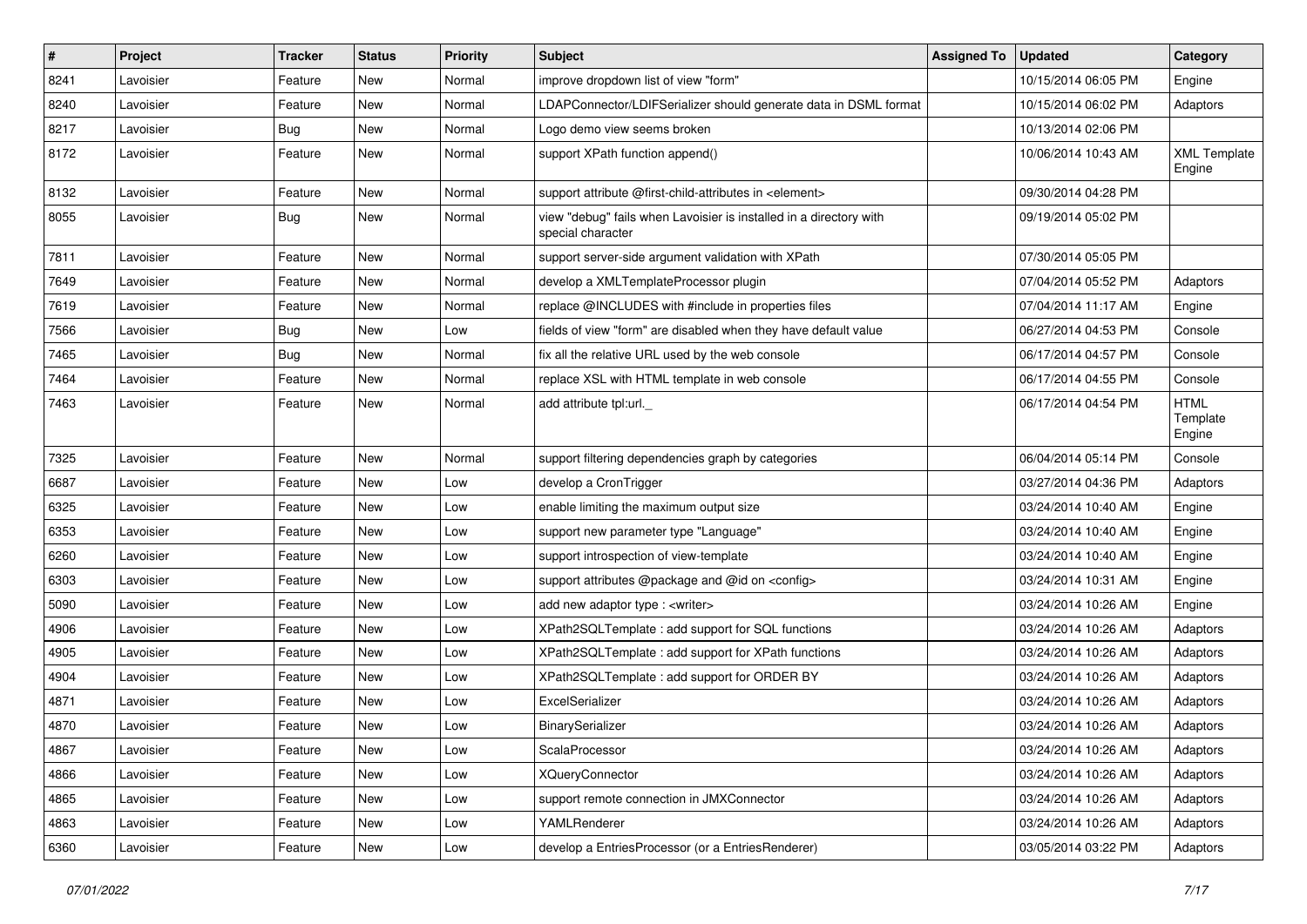| #    | Project   | <b>Tracker</b> | <b>Status</b> | <b>Priority</b> | Subject                                                                                 | <b>Assigned To</b> | <b>Updated</b>      | Category                          |
|------|-----------|----------------|---------------|-----------------|-----------------------------------------------------------------------------------------|--------------------|---------------------|-----------------------------------|
| 8241 | Lavoisier | Feature        | New           | Normal          | improve dropdown list of view "form"                                                    |                    | 10/15/2014 06:05 PM | Engine                            |
| 8240 | Lavoisier | Feature        | <b>New</b>    | Normal          | LDAPConnector/LDIFSerializer should generate data in DSML format                        |                    | 10/15/2014 06:02 PM | Adaptors                          |
| 8217 | Lavoisier | <b>Bug</b>     | New           | Normal          | Logo demo view seems broken                                                             |                    | 10/13/2014 02:06 PM |                                   |
| 8172 | Lavoisier | Feature        | New           | Normal          | support XPath function append()                                                         |                    | 10/06/2014 10:43 AM | <b>XML Template</b><br>Engine     |
| 8132 | Lavoisier | Feature        | <b>New</b>    | Normal          | support attribute @first-child-attributes in <element></element>                        |                    | 09/30/2014 04:28 PM |                                   |
| 8055 | Lavoisier | <b>Bug</b>     | New           | Normal          | view "debug" fails when Lavoisier is installed in a directory with<br>special character |                    | 09/19/2014 05:02 PM |                                   |
| 7811 | Lavoisier | Feature        | <b>New</b>    | Normal          | support server-side argument validation with XPath                                      |                    | 07/30/2014 05:05 PM |                                   |
| 7649 | Lavoisier | Feature        | <b>New</b>    | Normal          | develop a XMLTemplateProcessor plugin                                                   |                    | 07/04/2014 05:52 PM | Adaptors                          |
| 7619 | Lavoisier | Feature        | New           | Normal          | replace @INCLUDES with #include in properties files                                     |                    | 07/04/2014 11:17 AM | Engine                            |
| 7566 | Lavoisier | Bug            | <b>New</b>    | Low             | fields of view "form" are disabled when they have default value                         |                    | 06/27/2014 04:53 PM | Console                           |
| 7465 | Lavoisier | Bug            | New           | Normal          | fix all the relative URL used by the web console                                        |                    | 06/17/2014 04:57 PM | Console                           |
| 7464 | Lavoisier | Feature        | <b>New</b>    | Normal          | replace XSL with HTML template in web console                                           |                    | 06/17/2014 04:55 PM | Console                           |
| 7463 | Lavoisier | Feature        | New           | Normal          | add attribute tpl:url.                                                                  |                    | 06/17/2014 04:54 PM | <b>HTML</b><br>Template<br>Engine |
| 7325 | Lavoisier | Feature        | <b>New</b>    | Normal          | support filtering dependencies graph by categories                                      |                    | 06/04/2014 05:14 PM | Console                           |
| 6687 | Lavoisier | Feature        | <b>New</b>    | Low             | develop a CronTrigger                                                                   |                    | 03/27/2014 04:36 PM | Adaptors                          |
| 6325 | Lavoisier | Feature        | <b>New</b>    | Low             | enable limiting the maximum output size                                                 |                    | 03/24/2014 10:40 AM | Engine                            |
| 6353 | Lavoisier | Feature        | New           | Low             | support new parameter type "Language"                                                   |                    | 03/24/2014 10:40 AM | Engine                            |
| 6260 | Lavoisier | Feature        | <b>New</b>    | Low             | support introspection of view-template                                                  |                    | 03/24/2014 10:40 AM | Engine                            |
| 6303 | Lavoisier | Feature        | <b>New</b>    | Low             | support attributes @package and @id on <config></config>                                |                    | 03/24/2014 10:31 AM | Engine                            |
| 5090 | Lavoisier | Feature        | New           | Low             | add new adaptor type : < writer>                                                        |                    | 03/24/2014 10:26 AM | Engine                            |
| 4906 | Lavoisier | Feature        | New           | Low             | XPath2SQLTemplate : add support for SQL functions                                       |                    | 03/24/2014 10:26 AM | Adaptors                          |
| 4905 | Lavoisier | Feature        | <b>New</b>    | Low             | XPath2SQLTemplate : add support for XPath functions                                     |                    | 03/24/2014 10:26 AM | Adaptors                          |
| 4904 | Lavoisier | Feature        | <b>New</b>    | Low             | XPath2SQLTemplate : add support for ORDER BY                                            |                    | 03/24/2014 10:26 AM | Adaptors                          |
| 4871 | Lavoisier | Feature        | New           | Low             | ExcelSerializer                                                                         |                    | 03/24/2014 10:26 AM | Adaptors                          |
| 4870 | Lavoisier | Feature        | New           | Low             | BinarySerializer                                                                        |                    | 03/24/2014 10:26 AM | Adaptors                          |
| 4867 | Lavoisier | Feature        | New           | Low             | ScalaProcessor                                                                          |                    | 03/24/2014 10:26 AM | Adaptors                          |
| 4866 | Lavoisier | Feature        | New           | Low             | <b>XQueryConnector</b>                                                                  |                    | 03/24/2014 10:26 AM | Adaptors                          |
| 4865 | Lavoisier | Feature        | New           | Low             | support remote connection in JMXConnector                                               |                    | 03/24/2014 10:26 AM | Adaptors                          |
| 4863 | Lavoisier | Feature        | New           | Low             | YAMLRenderer                                                                            |                    | 03/24/2014 10:26 AM | Adaptors                          |
| 6360 | Lavoisier | Feature        | New           | Low             | develop a EntriesProcessor (or a EntriesRenderer)                                       |                    | 03/05/2014 03:22 PM | Adaptors                          |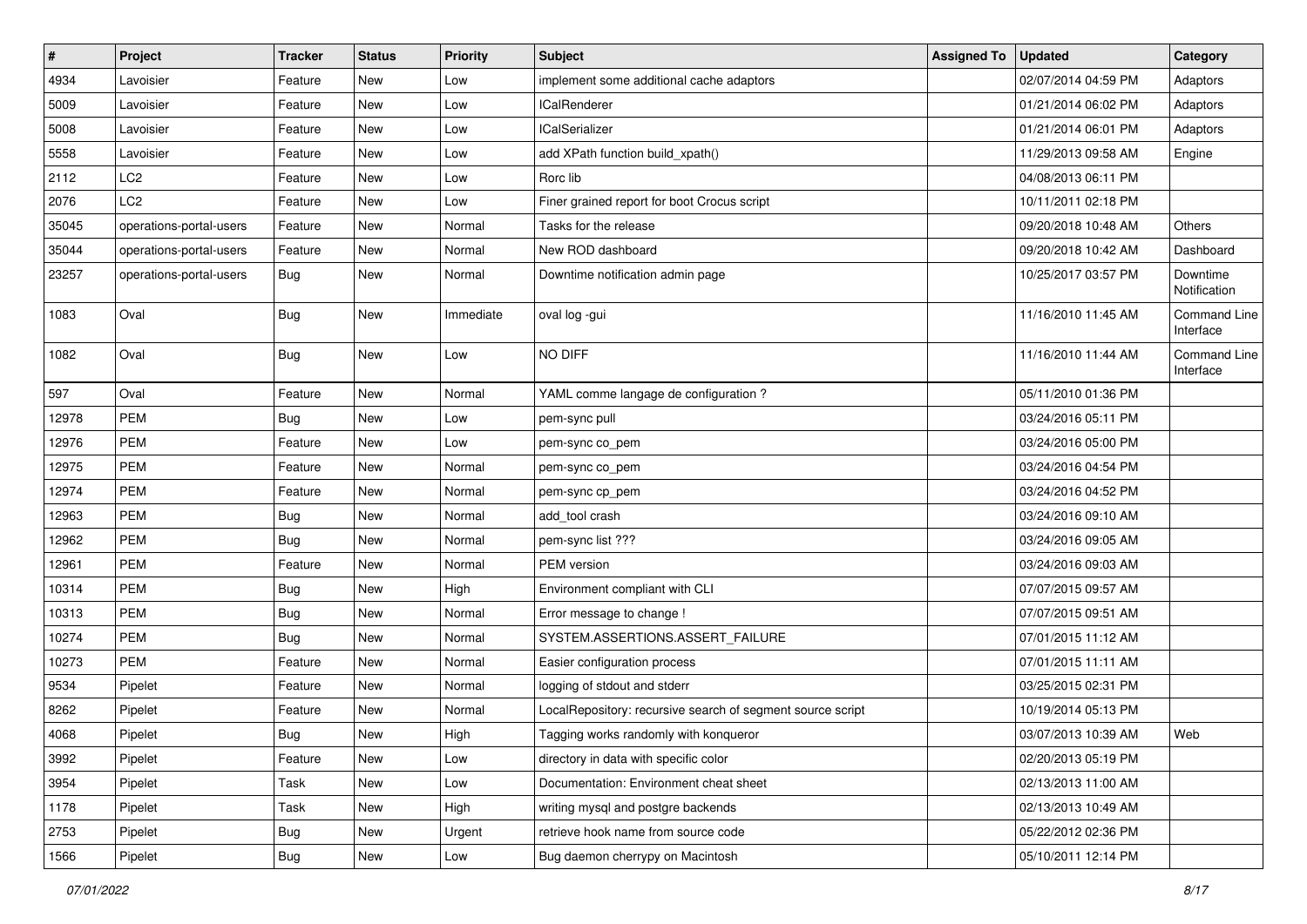| $\vert$ # | Project                 | <b>Tracker</b> | <b>Status</b> | <b>Priority</b> | <b>Subject</b>                                             | <b>Assigned To</b> | <b>Updated</b>      | Category                  |
|-----------|-------------------------|----------------|---------------|-----------------|------------------------------------------------------------|--------------------|---------------------|---------------------------|
| 4934      | Lavoisier               | Feature        | <b>New</b>    | Low             | implement some additional cache adaptors                   |                    | 02/07/2014 04:59 PM | Adaptors                  |
| 5009      | Lavoisier               | Feature        | <b>New</b>    | Low             | <b>ICalRenderer</b>                                        |                    | 01/21/2014 06:02 PM | Adaptors                  |
| 5008      | Lavoisier               | Feature        | New           | Low             | <b>ICalSerializer</b>                                      |                    | 01/21/2014 06:01 PM | Adaptors                  |
| 5558      | Lavoisier               | Feature        | New           | Low             | add XPath function build_xpath()                           |                    | 11/29/2013 09:58 AM | Engine                    |
| 2112      | LC <sub>2</sub>         | Feature        | New           | Low             | Rorc lib                                                   |                    | 04/08/2013 06:11 PM |                           |
| 2076      | LC <sub>2</sub>         | Feature        | <b>New</b>    | Low             | Finer grained report for boot Crocus script                |                    | 10/11/2011 02:18 PM |                           |
| 35045     | operations-portal-users | Feature        | <b>New</b>    | Normal          | Tasks for the release                                      |                    | 09/20/2018 10:48 AM | Others                    |
| 35044     | operations-portal-users | Feature        | New           | Normal          | New ROD dashboard                                          |                    | 09/20/2018 10:42 AM | Dashboard                 |
| 23257     | operations-portal-users | Bug            | <b>New</b>    | Normal          | Downtime notification admin page                           |                    | 10/25/2017 03:57 PM | Downtime<br>Notification  |
| 1083      | Oval                    | Bug            | New           | Immediate       | oval log -gui                                              |                    | 11/16/2010 11:45 AM | Command Line<br>Interface |
| 1082      | Oval                    | <b>Bug</b>     | New           | Low             | NO DIFF                                                    |                    | 11/16/2010 11:44 AM | Command Line<br>Interface |
| 597       | Oval                    | Feature        | <b>New</b>    | Normal          | YAML comme langage de configuration ?                      |                    | 05/11/2010 01:36 PM |                           |
| 12978     | <b>PEM</b>              | Bug            | New           | Low             | pem-sync pull                                              |                    | 03/24/2016 05:11 PM |                           |
| 12976     | <b>PEM</b>              | Feature        | New           | Low             | pem-sync co_pem                                            |                    | 03/24/2016 05:00 PM |                           |
| 12975     | PEM                     | Feature        | <b>New</b>    | Normal          | pem-sync co_pem                                            |                    | 03/24/2016 04:54 PM |                           |
| 12974     | <b>PEM</b>              | Feature        | New           | Normal          | pem-sync cp_pem                                            |                    | 03/24/2016 04:52 PM |                           |
| 12963     | <b>PEM</b>              | <b>Bug</b>     | New           | Normal          | add tool crash                                             |                    | 03/24/2016 09:10 AM |                           |
| 12962     | <b>PEM</b>              | Bug            | New           | Normal          | pem-sync list ???                                          |                    | 03/24/2016 09:05 AM |                           |
| 12961     | <b>PEM</b>              | Feature        | New           | Normal          | PEM version                                                |                    | 03/24/2016 09:03 AM |                           |
| 10314     | <b>PEM</b>              | Bug            | <b>New</b>    | High            | Environment compliant with CLI                             |                    | 07/07/2015 09:57 AM |                           |
| 10313     | <b>PEM</b>              | <b>Bug</b>     | New           | Normal          | Error message to change !                                  |                    | 07/07/2015 09:51 AM |                           |
| 10274     | <b>PEM</b>              | <b>Bug</b>     | New           | Normal          | SYSTEM.ASSERTIONS.ASSERT_FAILURE                           |                    | 07/01/2015 11:12 AM |                           |
| 10273     | <b>PEM</b>              | Feature        | New           | Normal          | Easier configuration process                               |                    | 07/01/2015 11:11 AM |                           |
| 9534      | Pipelet                 | Feature        | <b>New</b>    | Normal          | logging of stdout and stderr                               |                    | 03/25/2015 02:31 PM |                           |
| 8262      | Pipelet                 | Feature        | <b>New</b>    | Normal          | LocalRepository: recursive search of segment source script |                    | 10/19/2014 05:13 PM |                           |
| 4068      | Pipelet                 | Bug            | New           | High            | Tagging works randomly with konqueror                      |                    | 03/07/2013 10:39 AM | Web                       |
| 3992      | Pipelet                 | Feature        | New           | Low             | directory in data with specific color                      |                    | 02/20/2013 05:19 PM |                           |
| 3954      | Pipelet                 | Task           | New           | Low             | Documentation: Environment cheat sheet                     |                    | 02/13/2013 11:00 AM |                           |
| 1178      | Pipelet                 | Task           | New           | High            | writing mysql and postgre backends                         |                    | 02/13/2013 10:49 AM |                           |
| 2753      | Pipelet                 | <b>Bug</b>     | New           | Urgent          | retrieve hook name from source code                        |                    | 05/22/2012 02:36 PM |                           |
| 1566      | Pipelet                 | <b>Bug</b>     | New           | Low             | Bug daemon cherrypy on Macintosh                           |                    | 05/10/2011 12:14 PM |                           |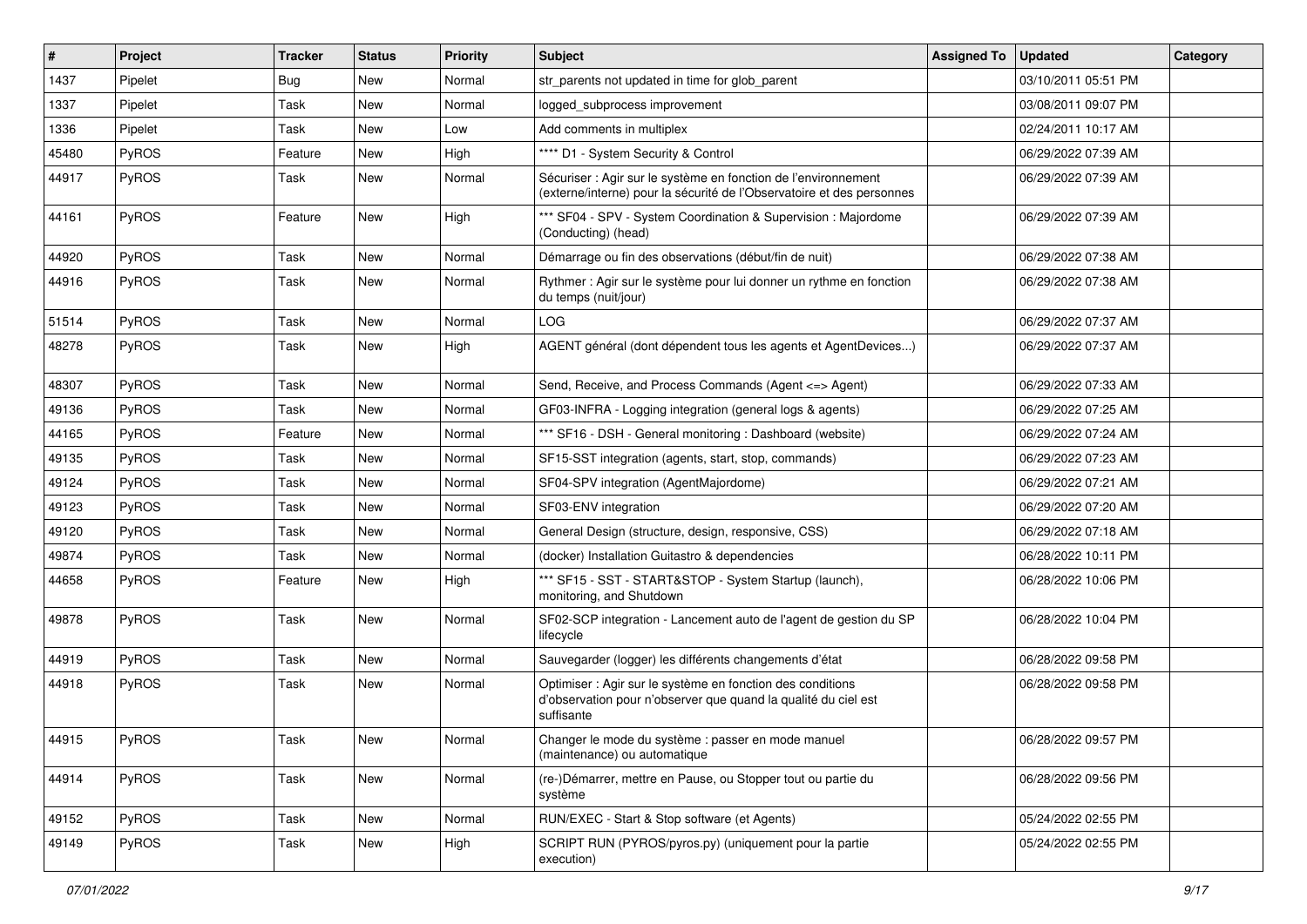| #     | Project      | Tracker    | <b>Status</b> | <b>Priority</b> | Subject                                                                                                                                    | <b>Assigned To</b> | <b>Updated</b>      | Category |
|-------|--------------|------------|---------------|-----------------|--------------------------------------------------------------------------------------------------------------------------------------------|--------------------|---------------------|----------|
| 1437  | Pipelet      | <b>Bug</b> | New           | Normal          | str_parents not updated in time for glob_parent                                                                                            |                    | 03/10/2011 05:51 PM |          |
| 1337  | Pipelet      | Task       | <b>New</b>    | Normal          | logged subprocess improvement                                                                                                              |                    | 03/08/2011 09:07 PM |          |
| 1336  | Pipelet      | Task       | New           | Low             | Add comments in multiplex                                                                                                                  |                    | 02/24/2011 10:17 AM |          |
| 45480 | PyROS        | Feature    | New           | High            | **** D1 - System Security & Control                                                                                                        |                    | 06/29/2022 07:39 AM |          |
| 44917 | <b>PyROS</b> | Task       | New           | Normal          | Sécuriser : Agir sur le système en fonction de l'environnement<br>(externe/interne) pour la sécurité de l'Observatoire et des personnes    |                    | 06/29/2022 07:39 AM |          |
| 44161 | PyROS        | Feature    | <b>New</b>    | High            | *** SF04 - SPV - System Coordination & Supervision : Majordome<br>(Conducting) (head)                                                      |                    | 06/29/2022 07:39 AM |          |
| 44920 | PyROS        | Task       | <b>New</b>    | Normal          | Démarrage ou fin des observations (début/fin de nuit)                                                                                      |                    | 06/29/2022 07:38 AM |          |
| 44916 | PyROS        | Task       | New           | Normal          | Rythmer : Agir sur le système pour lui donner un rythme en fonction<br>du temps (nuit/jour)                                                |                    | 06/29/2022 07:38 AM |          |
| 51514 | PyROS        | Task       | New           | Normal          | <b>LOG</b>                                                                                                                                 |                    | 06/29/2022 07:37 AM |          |
| 48278 | PyROS        | Task       | <b>New</b>    | High            | AGENT général (dont dépendent tous les agents et AgentDevices)                                                                             |                    | 06/29/2022 07:37 AM |          |
| 48307 | PyROS        | Task       | New           | Normal          | Send, Receive, and Process Commands (Agent <= > Agent)                                                                                     |                    | 06/29/2022 07:33 AM |          |
| 49136 | PyROS        | Task       | New           | Normal          | GF03-INFRA - Logging integration (general logs & agents)                                                                                   |                    | 06/29/2022 07:25 AM |          |
| 44165 | PyROS        | Feature    | New           | Normal          | *** SF16 - DSH - General monitoring: Dashboard (website)                                                                                   |                    | 06/29/2022 07:24 AM |          |
| 49135 | PyROS        | Task       | New           | Normal          | SF15-SST integration (agents, start, stop, commands)                                                                                       |                    | 06/29/2022 07:23 AM |          |
| 49124 | <b>PyROS</b> | Task       | New           | Normal          | SF04-SPV integration (AgentMajordome)                                                                                                      |                    | 06/29/2022 07:21 AM |          |
| 49123 | PyROS        | Task       | New           | Normal          | SF03-ENV integration                                                                                                                       |                    | 06/29/2022 07:20 AM |          |
| 49120 | PyROS        | Task       | New           | Normal          | General Design (structure, design, responsive, CSS)                                                                                        |                    | 06/29/2022 07:18 AM |          |
| 49874 | PyROS        | Task       | New           | Normal          | (docker) Installation Guitastro & dependencies                                                                                             |                    | 06/28/2022 10:11 PM |          |
| 44658 | PyROS        | Feature    | New           | High            | *** SF15 - SST - START&STOP - System Startup (launch),<br>monitoring, and Shutdown                                                         |                    | 06/28/2022 10:06 PM |          |
| 49878 | PyROS        | Task       | New           | Normal          | SF02-SCP integration - Lancement auto de l'agent de gestion du SP<br>lifecycle                                                             |                    | 06/28/2022 10:04 PM |          |
| 44919 | PyROS        | Task       | New           | Normal          | Sauvegarder (logger) les différents changements d'état                                                                                     |                    | 06/28/2022 09:58 PM |          |
| 44918 | PyROS        | Task       | New           | Normal          | Optimiser : Agir sur le système en fonction des conditions<br>d'observation pour n'observer que quand la qualité du ciel est<br>suffisante |                    | 06/28/2022 09:58 PM |          |
| 44915 | PyROS        | Task       | New           | Normal          | Changer le mode du système : passer en mode manuel<br>(maintenance) ou automatique                                                         |                    | 06/28/2022 09:57 PM |          |
| 44914 | PyROS        | Task       | New           | Normal          | (re-)Démarrer, mettre en Pause, ou Stopper tout ou partie du<br>système                                                                    |                    | 06/28/2022 09:56 PM |          |
| 49152 | PyROS        | Task       | New           | Normal          | RUN/EXEC - Start & Stop software (et Agents)                                                                                               |                    | 05/24/2022 02:55 PM |          |
| 49149 | PyROS        | Task       | New           | High            | SCRIPT RUN (PYROS/pyros.py) (uniquement pour la partie<br>execution)                                                                       |                    | 05/24/2022 02:55 PM |          |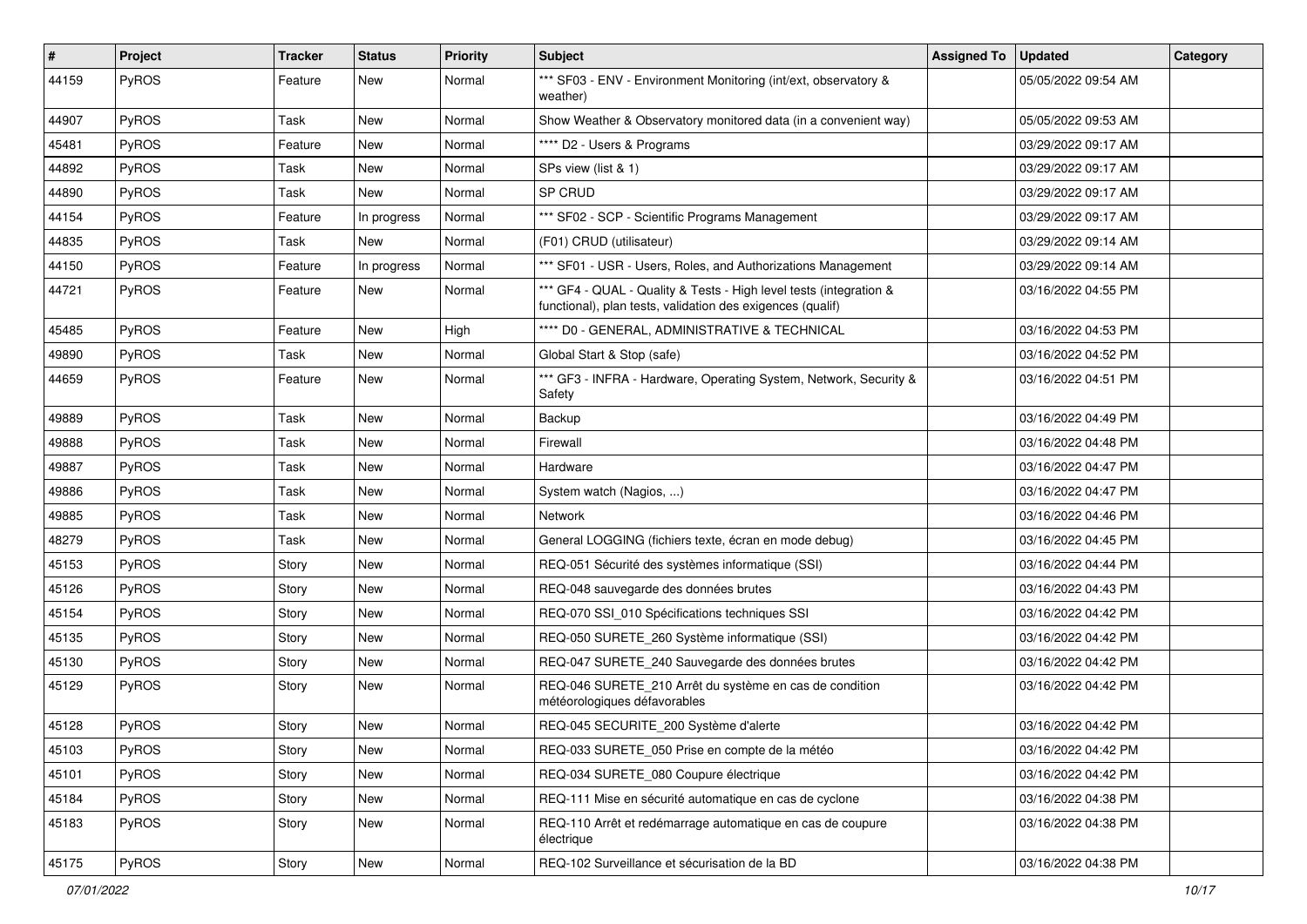| $\vert$ # | Project      | <b>Tracker</b> | <b>Status</b> | <b>Priority</b> | Subject                                                                                                                          | <b>Assigned To</b> | <b>Updated</b>      | Category |
|-----------|--------------|----------------|---------------|-----------------|----------------------------------------------------------------------------------------------------------------------------------|--------------------|---------------------|----------|
| 44159     | PyROS        | Feature        | New           | Normal          | *** SF03 - ENV - Environment Monitoring (int/ext, observatory &<br>weather)                                                      |                    | 05/05/2022 09:54 AM |          |
| 44907     | PyROS        | Task           | <b>New</b>    | Normal          | Show Weather & Observatory monitored data (in a convenient way)                                                                  |                    | 05/05/2022 09:53 AM |          |
| 45481     | PyROS        | Feature        | New           | Normal          | **** D2 - Users & Programs                                                                                                       |                    | 03/29/2022 09:17 AM |          |
| 44892     | PyROS        | Task           | <b>New</b>    | Normal          | SPs view (list & 1)                                                                                                              |                    | 03/29/2022 09:17 AM |          |
| 44890     | <b>PyROS</b> | Task           | New           | Normal          | SP CRUD                                                                                                                          |                    | 03/29/2022 09:17 AM |          |
| 44154     | PyROS        | Feature        | In progress   | Normal          | *** SF02 - SCP - Scientific Programs Management                                                                                  |                    | 03/29/2022 09:17 AM |          |
| 44835     | PyROS        | Task           | New           | Normal          | (F01) CRUD (utilisateur)                                                                                                         |                    | 03/29/2022 09:14 AM |          |
| 44150     | PyROS        | Feature        | In progress   | Normal          | *** SF01 - USR - Users, Roles, and Authorizations Management                                                                     |                    | 03/29/2022 09:14 AM |          |
| 44721     | PyROS        | Feature        | New           | Normal          | *** GF4 - QUAL - Quality & Tests - High level tests (integration &<br>functional), plan tests, validation des exigences (qualif) |                    | 03/16/2022 04:55 PM |          |
| 45485     | PyROS        | Feature        | New           | High            | **** D0 - GENERAL, ADMINISTRATIVE & TECHNICAL                                                                                    |                    | 03/16/2022 04:53 PM |          |
| 49890     | PyROS        | Task           | New           | Normal          | Global Start & Stop (safe)                                                                                                       |                    | 03/16/2022 04:52 PM |          |
| 44659     | PyROS        | Feature        | New           | Normal          | *** GF3 - INFRA - Hardware, Operating System, Network, Security &<br>Safety                                                      |                    | 03/16/2022 04:51 PM |          |
| 49889     | PyROS        | Task           | New           | Normal          | Backup                                                                                                                           |                    | 03/16/2022 04:49 PM |          |
| 49888     | <b>PyROS</b> | Task           | <b>New</b>    | Normal          | Firewall                                                                                                                         |                    | 03/16/2022 04:48 PM |          |
| 49887     | PyROS        | Task           | <b>New</b>    | Normal          | Hardware                                                                                                                         |                    | 03/16/2022 04:47 PM |          |
| 49886     | <b>PyROS</b> | Task           | <b>New</b>    | Normal          | System watch (Nagios, )                                                                                                          |                    | 03/16/2022 04:47 PM |          |
| 49885     | PyROS        | Task           | New           | Normal          | <b>Network</b>                                                                                                                   |                    | 03/16/2022 04:46 PM |          |
| 48279     | PyROS        | Task           | New           | Normal          | General LOGGING (fichiers texte, écran en mode debug)                                                                            |                    | 03/16/2022 04:45 PM |          |
| 45153     | <b>PyROS</b> | Story          | <b>New</b>    | Normal          | REQ-051 Sécurité des systèmes informatique (SSI)                                                                                 |                    | 03/16/2022 04:44 PM |          |
| 45126     | PyROS        | Story          | <b>New</b>    | Normal          | REQ-048 sauvegarde des données brutes                                                                                            |                    | 03/16/2022 04:43 PM |          |
| 45154     | PyROS        | Story          | New           | Normal          | REQ-070 SSI_010 Spécifications techniques SSI                                                                                    |                    | 03/16/2022 04:42 PM |          |
| 45135     | PyROS        | Story          | New           | Normal          | REQ-050 SURETE_260 Système informatique (SSI)                                                                                    |                    | 03/16/2022 04:42 PM |          |
| 45130     | PyROS        | Story          | New           | Normal          | REQ-047 SURETE 240 Sauvegarde des données brutes                                                                                 |                    | 03/16/2022 04:42 PM |          |
| 45129     | PyROS        | Story          | New           | Normal          | REQ-046 SURETE_210 Arrêt du système en cas de condition<br>météorologiques défavorables                                          |                    | 03/16/2022 04:42 PM |          |
| 45128     | PyROS        | Story          | New           | Normal          | REQ-045 SECURITE_200 Système d'alerte                                                                                            |                    | 03/16/2022 04:42 PM |          |
| 45103     | PyROS        | Story          | New           | Normal          | REQ-033 SURETE_050 Prise en compte de la météo                                                                                   |                    | 03/16/2022 04:42 PM |          |
| 45101     | PyROS        | Story          | New           | Normal          | REQ-034 SURETE_080 Coupure électrique                                                                                            |                    | 03/16/2022 04:42 PM |          |
| 45184     | <b>PyROS</b> | Story          | New           | Normal          | REQ-111 Mise en sécurité automatique en cas de cyclone                                                                           |                    | 03/16/2022 04:38 PM |          |
| 45183     | PyROS        | Story          | New           | Normal          | REQ-110 Arrêt et redémarrage automatique en cas de coupure<br>électrique                                                         |                    | 03/16/2022 04:38 PM |          |
| 45175     | PyROS        | Story          | New           | Normal          | REQ-102 Surveillance et sécurisation de la BD                                                                                    |                    | 03/16/2022 04:38 PM |          |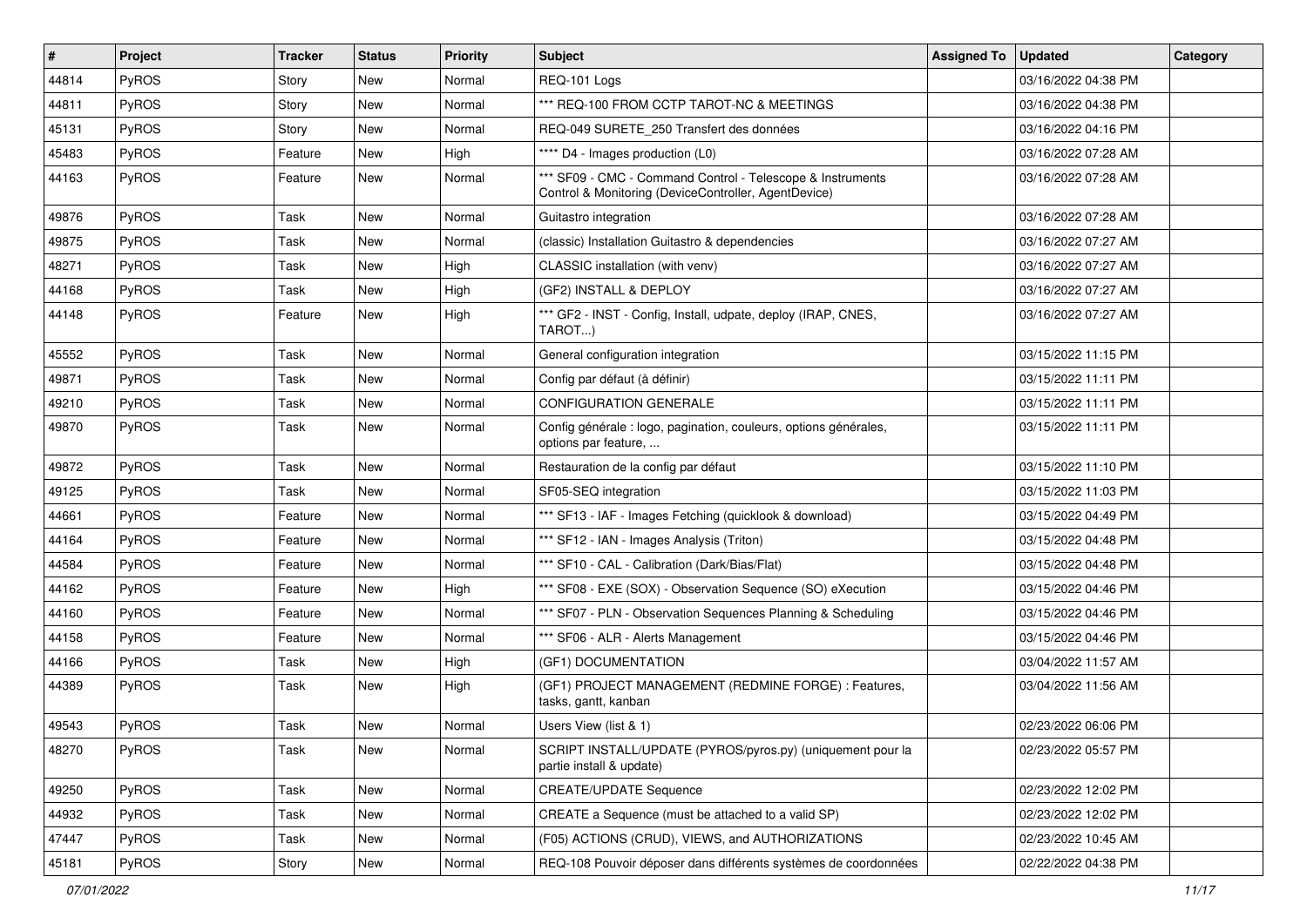| $\vert$ # | Project      | <b>Tracker</b> | <b>Status</b> | <b>Priority</b> | <b>Subject</b>                                                                                                     | <b>Assigned To</b> | <b>Updated</b>      | Category |
|-----------|--------------|----------------|---------------|-----------------|--------------------------------------------------------------------------------------------------------------------|--------------------|---------------------|----------|
| 44814     | PyROS        | Story          | New           | Normal          | REQ-101 Logs                                                                                                       |                    | 03/16/2022 04:38 PM |          |
| 44811     | PyROS        | Story          | <b>New</b>    | Normal          | *** REQ-100 FROM CCTP TAROT-NC & MEETINGS                                                                          |                    | 03/16/2022 04:38 PM |          |
| 45131     | <b>PyROS</b> | Story          | New           | Normal          | REQ-049 SURETE 250 Transfert des données                                                                           |                    | 03/16/2022 04:16 PM |          |
| 45483     | PyROS        | Feature        | New           | High            | **** D4 - Images production (L0)                                                                                   |                    | 03/16/2022 07:28 AM |          |
| 44163     | PyROS        | Feature        | New           | Normal          | *** SF09 - CMC - Command Control - Telescope & Instruments<br>Control & Monitoring (DeviceController, AgentDevice) |                    | 03/16/2022 07:28 AM |          |
| 49876     | PyROS        | Task           | <b>New</b>    | Normal          | Guitastro integration                                                                                              |                    | 03/16/2022 07:28 AM |          |
| 49875     | PyROS        | Task           | New           | Normal          | (classic) Installation Guitastro & dependencies                                                                    |                    | 03/16/2022 07:27 AM |          |
| 48271     | PyROS        | Task           | <b>New</b>    | High            | CLASSIC installation (with venv)                                                                                   |                    | 03/16/2022 07:27 AM |          |
| 44168     | PyROS        | Task           | <b>New</b>    | High            | (GF2) INSTALL & DEPLOY                                                                                             |                    | 03/16/2022 07:27 AM |          |
| 44148     | <b>PyROS</b> | Feature        | New           | High            | *** GF2 - INST - Config, Install, udpate, deploy (IRAP, CNES,<br>TAROT)                                            |                    | 03/16/2022 07:27 AM |          |
| 45552     | PyROS        | Task           | <b>New</b>    | Normal          | General configuration integration                                                                                  |                    | 03/15/2022 11:15 PM |          |
| 49871     | <b>PyROS</b> | Task           | New           | Normal          | Config par défaut (à définir)                                                                                      |                    | 03/15/2022 11:11 PM |          |
| 49210     | PyROS        | Task           | <b>New</b>    | Normal          | <b>CONFIGURATION GENERALE</b>                                                                                      |                    | 03/15/2022 11:11 PM |          |
| 49870     | PyROS        | Task           | New           | Normal          | Config générale : logo, pagination, couleurs, options générales,<br>options par feature,                           |                    | 03/15/2022 11:11 PM |          |
| 49872     | PyROS        | Task           | <b>New</b>    | Normal          | Restauration de la config par défaut                                                                               |                    | 03/15/2022 11:10 PM |          |
| 49125     | <b>PyROS</b> | Task           | <b>New</b>    | Normal          | SF05-SEQ integration                                                                                               |                    | 03/15/2022 11:03 PM |          |
| 44661     | PyROS        | Feature        | New           | Normal          | *** SF13 - IAF - Images Fetching (quicklook & download)                                                            |                    | 03/15/2022 04:49 PM |          |
| 44164     | PyROS        | Feature        | New           | Normal          | *** SF12 - IAN - Images Analysis (Triton)                                                                          |                    | 03/15/2022 04:48 PM |          |
| 44584     | PyROS        | Feature        | <b>New</b>    | Normal          | *** SF10 - CAL - Calibration (Dark/Bias/Flat)                                                                      |                    | 03/15/2022 04:48 PM |          |
| 44162     | PyROS        | Feature        | <b>New</b>    | High            | *** SF08 - EXE (SOX) - Observation Sequence (SO) eXecution                                                         |                    | 03/15/2022 04:46 PM |          |
| 44160     | PyROS        | Feature        | New           | Normal          | *** SF07 - PLN - Observation Sequences Planning & Scheduling                                                       |                    | 03/15/2022 04:46 PM |          |
| 44158     | PyROS        | Feature        | New           | Normal          | *** SF06 - ALR - Alerts Management                                                                                 |                    | 03/15/2022 04:46 PM |          |
| 44166     | PyROS        | Task           | New           | High            | (GF1) DOCUMENTATION                                                                                                |                    | 03/04/2022 11:57 AM |          |
| 44389     | PyROS        | Task           | New           | High            | (GF1) PROJECT MANAGEMENT (REDMINE FORGE) : Features,<br>tasks, gantt, kanban                                       |                    | 03/04/2022 11:56 AM |          |
| 49543     | PyROS        | Task           | New           | Normal          | Users View (list & 1)                                                                                              |                    | 02/23/2022 06:06 PM |          |
| 48270     | PyROS        | Task           | New           | Normal          | SCRIPT INSTALL/UPDATE (PYROS/pyros.py) (uniquement pour la<br>partie install & update)                             |                    | 02/23/2022 05:57 PM |          |
| 49250     | PyROS        | Task           | New           | Normal          | <b>CREATE/UPDATE Sequence</b>                                                                                      |                    | 02/23/2022 12:02 PM |          |
| 44932     | PyROS        | Task           | <b>New</b>    | Normal          | CREATE a Sequence (must be attached to a valid SP)                                                                 |                    | 02/23/2022 12:02 PM |          |
| 47447     | PyROS        | Task           | New           | Normal          | (F05) ACTIONS (CRUD), VIEWS, and AUTHORIZATIONS                                                                    |                    | 02/23/2022 10:45 AM |          |
| 45181     | PyROS        | Story          | New           | Normal          | REQ-108 Pouvoir déposer dans différents systèmes de coordonnées                                                    |                    | 02/22/2022 04:38 PM |          |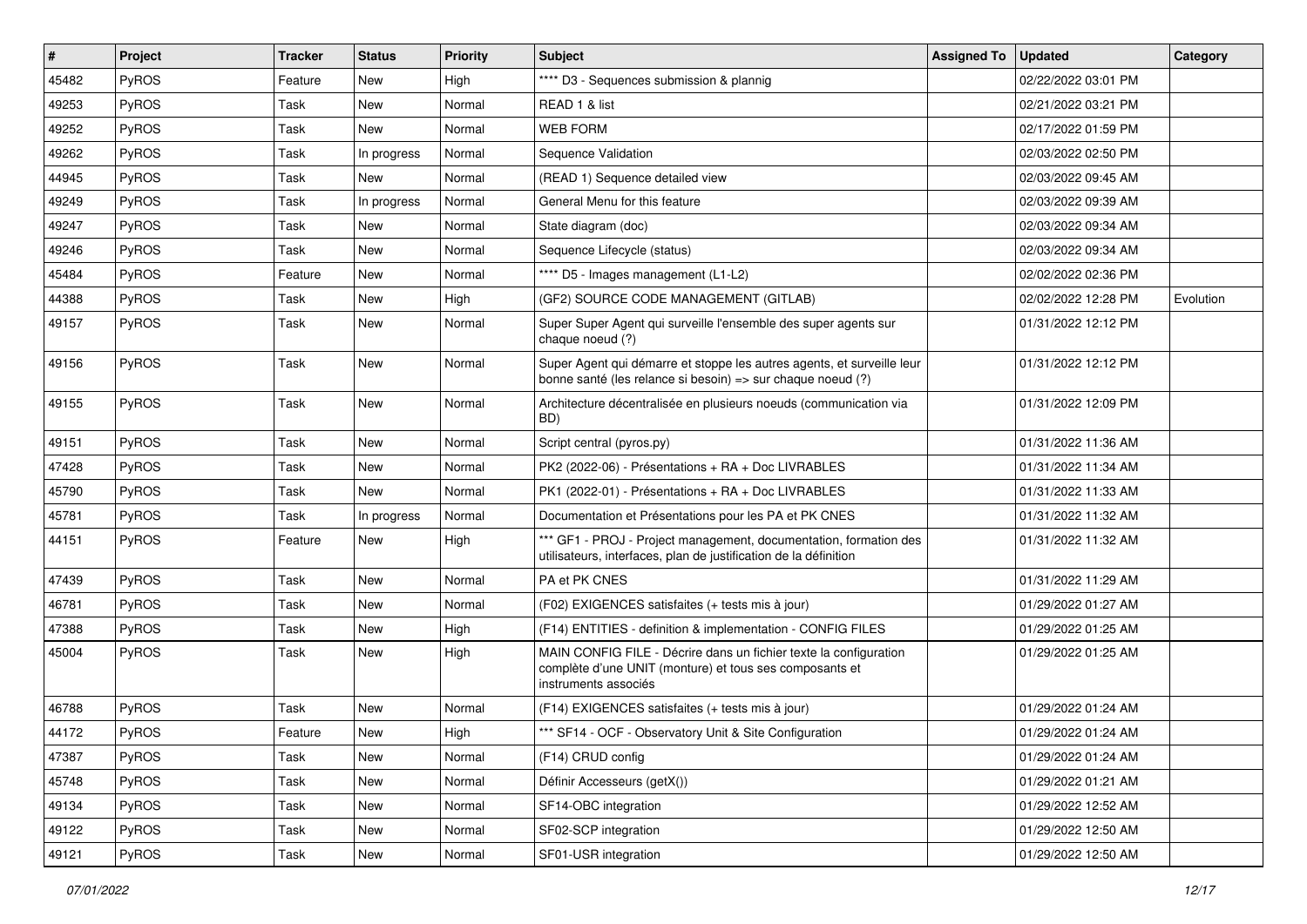| $\sharp$ | Project | <b>Tracker</b> | <b>Status</b> | <b>Priority</b> | <b>Subject</b>                                                                                                                                       | <b>Assigned To</b> | <b>Updated</b>      | Category  |
|----------|---------|----------------|---------------|-----------------|------------------------------------------------------------------------------------------------------------------------------------------------------|--------------------|---------------------|-----------|
| 45482    | PyROS   | Feature        | New           | High            | **** D3 - Sequences submission & plannig                                                                                                             |                    | 02/22/2022 03:01 PM |           |
| 49253    | PyROS   | Task           | <b>New</b>    | Normal          | READ 1 & list                                                                                                                                        |                    | 02/21/2022 03:21 PM |           |
| 49252    | PyROS   | Task           | New           | Normal          | <b>WEB FORM</b>                                                                                                                                      |                    | 02/17/2022 01:59 PM |           |
| 49262    | PyROS   | Task           | In progress   | Normal          | Sequence Validation                                                                                                                                  |                    | 02/03/2022 02:50 PM |           |
| 44945    | PyROS   | Task           | <b>New</b>    | Normal          | (READ 1) Sequence detailed view                                                                                                                      |                    | 02/03/2022 09:45 AM |           |
| 49249    | PyROS   | Task           | In progress   | Normal          | General Menu for this feature                                                                                                                        |                    | 02/03/2022 09:39 AM |           |
| 49247    | PyROS   | Task           | New           | Normal          | State diagram (doc)                                                                                                                                  |                    | 02/03/2022 09:34 AM |           |
| 49246    | PyROS   | Task           | New           | Normal          | Sequence Lifecycle (status)                                                                                                                          |                    | 02/03/2022 09:34 AM |           |
| 45484    | PyROS   | Feature        | New           | Normal          | **** D5 - Images management (L1-L2)                                                                                                                  |                    | 02/02/2022 02:36 PM |           |
| 44388    | PyROS   | Task           | <b>New</b>    | High            | (GF2) SOURCE CODE MANAGEMENT (GITLAB)                                                                                                                |                    | 02/02/2022 12:28 PM | Evolution |
| 49157    | PyROS   | Task           | New           | Normal          | Super Super Agent qui surveille l'ensemble des super agents sur<br>chaque noeud (?)                                                                  |                    | 01/31/2022 12:12 PM |           |
| 49156    | PyROS   | Task           | <b>New</b>    | Normal          | Super Agent qui démarre et stoppe les autres agents, et surveille leur<br>bonne santé (les relance si besoin) => sur chaque noeud (?)                |                    | 01/31/2022 12:12 PM |           |
| 49155    | PyROS   | Task           | <b>New</b>    | Normal          | Architecture décentralisée en plusieurs noeuds (communication via<br>BD)                                                                             |                    | 01/31/2022 12:09 PM |           |
| 49151    | PyROS   | Task           | <b>New</b>    | Normal          | Script central (pyros.py)                                                                                                                            |                    | 01/31/2022 11:36 AM |           |
| 47428    | PyROS   | Task           | <b>New</b>    | Normal          | PK2 (2022-06) - Présentations + RA + Doc LIVRABLES                                                                                                   |                    | 01/31/2022 11:34 AM |           |
| 45790    | PyROS   | Task           | New           | Normal          | PK1 (2022-01) - Présentations + RA + Doc LIVRABLES                                                                                                   |                    | 01/31/2022 11:33 AM |           |
| 45781    | PyROS   | Task           | In progress   | Normal          | Documentation et Présentations pour les PA et PK CNES                                                                                                |                    | 01/31/2022 11:32 AM |           |
| 44151    | PyROS   | Feature        | New           | High            | *** GF1 - PROJ - Project management, documentation, formation des<br>utilisateurs, interfaces, plan de justification de la définition                |                    | 01/31/2022 11:32 AM |           |
| 47439    | PyROS   | Task           | <b>New</b>    | Normal          | PA et PK CNES                                                                                                                                        |                    | 01/31/2022 11:29 AM |           |
| 46781    | PyROS   | Task           | New           | Normal          | (F02) EXIGENCES satisfaites (+ tests mis à jour)                                                                                                     |                    | 01/29/2022 01:27 AM |           |
| 47388    | PyROS   | Task           | New           | High            | (F14) ENTITIES - definition & implementation - CONFIG FILES                                                                                          |                    | 01/29/2022 01:25 AM |           |
| 45004    | PyROS   | <b>Task</b>    | <b>New</b>    | High            | MAIN CONFIG FILE - Décrire dans un fichier texte la configuration<br>complète d'une UNIT (monture) et tous ses composants et<br>instruments associés |                    | 01/29/2022 01:25 AM |           |
| 46788    | PyROS   | <b>Task</b>    | <b>New</b>    | Normal          | (F14) EXIGENCES satisfaites (+ tests mis à jour)                                                                                                     |                    | 01/29/2022 01:24 AM |           |
| 44172    | PyROS   | Feature        | New           | High            | *** SF14 - OCF - Observatory Unit & Site Configuration                                                                                               |                    | 01/29/2022 01:24 AM |           |
| 47387    | PyROS   | Task           | <b>New</b>    | Normal          | (F14) CRUD config                                                                                                                                    |                    | 01/29/2022 01:24 AM |           |
| 45748    | PyROS   | Task           | New           | Normal          | Définir Accesseurs (getX())                                                                                                                          |                    | 01/29/2022 01:21 AM |           |
| 49134    | PyROS   | Task           | New           | Normal          | SF14-OBC integration                                                                                                                                 |                    | 01/29/2022 12:52 AM |           |
| 49122    | PyROS   | Task           | New           | Normal          | SF02-SCP integration                                                                                                                                 |                    | 01/29/2022 12:50 AM |           |
| 49121    | PyROS   | Task           | New           | Normal          | SF01-USR integration                                                                                                                                 |                    | 01/29/2022 12:50 AM |           |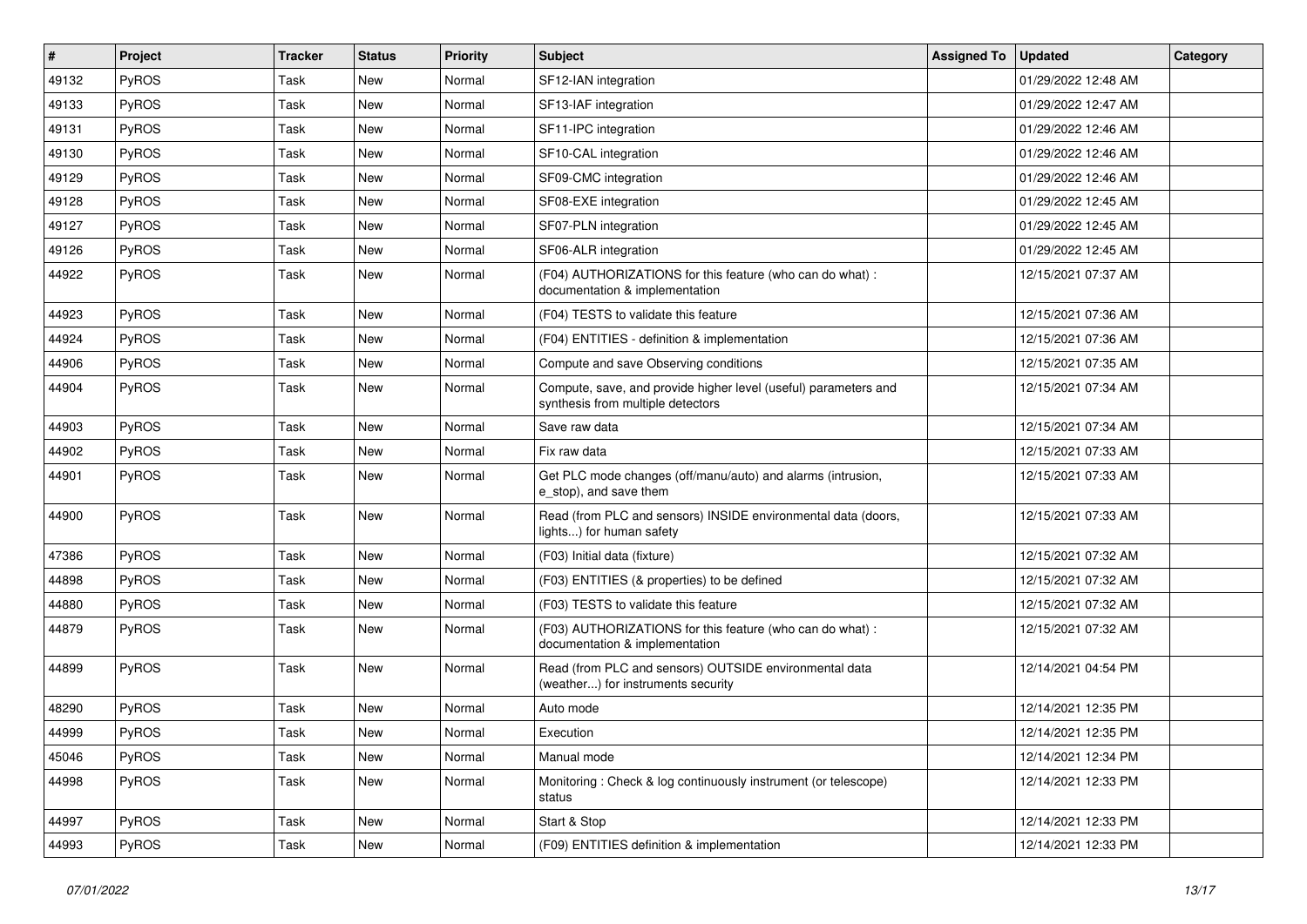| $\vert$ # | Project      | <b>Tracker</b> | <b>Status</b> | <b>Priority</b> | <b>Subject</b>                                                                                       | <b>Assigned To</b> | <b>Updated</b>      | Category |
|-----------|--------------|----------------|---------------|-----------------|------------------------------------------------------------------------------------------------------|--------------------|---------------------|----------|
| 49132     | <b>PyROS</b> | Task           | New           | Normal          | SF12-IAN integration                                                                                 |                    | 01/29/2022 12:48 AM |          |
| 49133     | PyROS        | Task           | <b>New</b>    | Normal          | SF13-IAF integration                                                                                 |                    | 01/29/2022 12:47 AM |          |
| 49131     | PyROS        | Task           | <b>New</b>    | Normal          | SF11-IPC integration                                                                                 |                    | 01/29/2022 12:46 AM |          |
| 49130     | PyROS        | Task           | New           | Normal          | SF10-CAL integration                                                                                 |                    | 01/29/2022 12:46 AM |          |
| 49129     | PyROS        | Task           | <b>New</b>    | Normal          | SF09-CMC integration                                                                                 |                    | 01/29/2022 12:46 AM |          |
| 49128     | <b>PyROS</b> | Task           | <b>New</b>    | Normal          | SF08-EXE integration                                                                                 |                    | 01/29/2022 12:45 AM |          |
| 49127     | <b>PyROS</b> | Task           | <b>New</b>    | Normal          | SF07-PLN integration                                                                                 |                    | 01/29/2022 12:45 AM |          |
| 49126     | <b>PyROS</b> | Task           | New           | Normal          | SF06-ALR integration                                                                                 |                    | 01/29/2022 12:45 AM |          |
| 44922     | PyROS        | Task           | New           | Normal          | (F04) AUTHORIZATIONS for this feature (who can do what) :<br>documentation & implementation          |                    | 12/15/2021 07:37 AM |          |
| 44923     | <b>PyROS</b> | Task           | <b>New</b>    | Normal          | (F04) TESTS to validate this feature                                                                 |                    | 12/15/2021 07:36 AM |          |
| 44924     | PyROS        | Task           | New           | Normal          | (F04) ENTITIES - definition & implementation                                                         |                    | 12/15/2021 07:36 AM |          |
| 44906     | PyROS        | Task           | <b>New</b>    | Normal          | Compute and save Observing conditions                                                                |                    | 12/15/2021 07:35 AM |          |
| 44904     | PyROS        | Task           | New           | Normal          | Compute, save, and provide higher level (useful) parameters and<br>synthesis from multiple detectors |                    | 12/15/2021 07:34 AM |          |
| 44903     | PyROS        | Task           | <b>New</b>    | Normal          | Save raw data                                                                                        |                    | 12/15/2021 07:34 AM |          |
| 44902     | PyROS        | Task           | New           | Normal          | Fix raw data                                                                                         |                    | 12/15/2021 07:33 AM |          |
| 44901     | PyROS        | Task           | <b>New</b>    | Normal          | Get PLC mode changes (off/manu/auto) and alarms (intrusion,<br>e stop), and save them                |                    | 12/15/2021 07:33 AM |          |
| 44900     | PyROS        | Task           | <b>New</b>    | Normal          | Read (from PLC and sensors) INSIDE environmental data (doors,<br>lights) for human safety            |                    | 12/15/2021 07:33 AM |          |
| 47386     | <b>PyROS</b> | Task           | <b>New</b>    | Normal          | (F03) Initial data (fixture)                                                                         |                    | 12/15/2021 07:32 AM |          |
| 44898     | PyROS        | Task           | <b>New</b>    | Normal          | (F03) ENTITIES (& properties) to be defined                                                          |                    | 12/15/2021 07:32 AM |          |
| 44880     | PyROS        | Task           | <b>New</b>    | Normal          | (F03) TESTS to validate this feature                                                                 |                    | 12/15/2021 07:32 AM |          |
| 44879     | PyROS        | Task           | New           | Normal          | (F03) AUTHORIZATIONS for this feature (who can do what) :<br>documentation & implementation          |                    | 12/15/2021 07:32 AM |          |
| 44899     | PyROS        | Task           | <b>New</b>    | Normal          | Read (from PLC and sensors) OUTSIDE environmental data<br>(weather) for instruments security         |                    | 12/14/2021 04:54 PM |          |
| 48290     | PyROS        | Task           | <b>New</b>    | Normal          | Auto mode                                                                                            |                    | 12/14/2021 12:35 PM |          |
| 44999     | <b>PyROS</b> | Task           | New           | Normal          | Execution                                                                                            |                    | 12/14/2021 12:35 PM |          |
| 45046     | PyROS        | Task           | New           | Normal          | Manual mode                                                                                          |                    | 12/14/2021 12:34 PM |          |
| 44998     | PyROS        | Task           | New           | Normal          | Monitoring: Check & log continuously instrument (or telescope)<br>status                             |                    | 12/14/2021 12:33 PM |          |
| 44997     | PyROS        | Task           | New           | Normal          | Start & Stop                                                                                         |                    | 12/14/2021 12:33 PM |          |
| 44993     | <b>PyROS</b> | Task           | New           | Normal          | (F09) ENTITIES definition & implementation                                                           |                    | 12/14/2021 12:33 PM |          |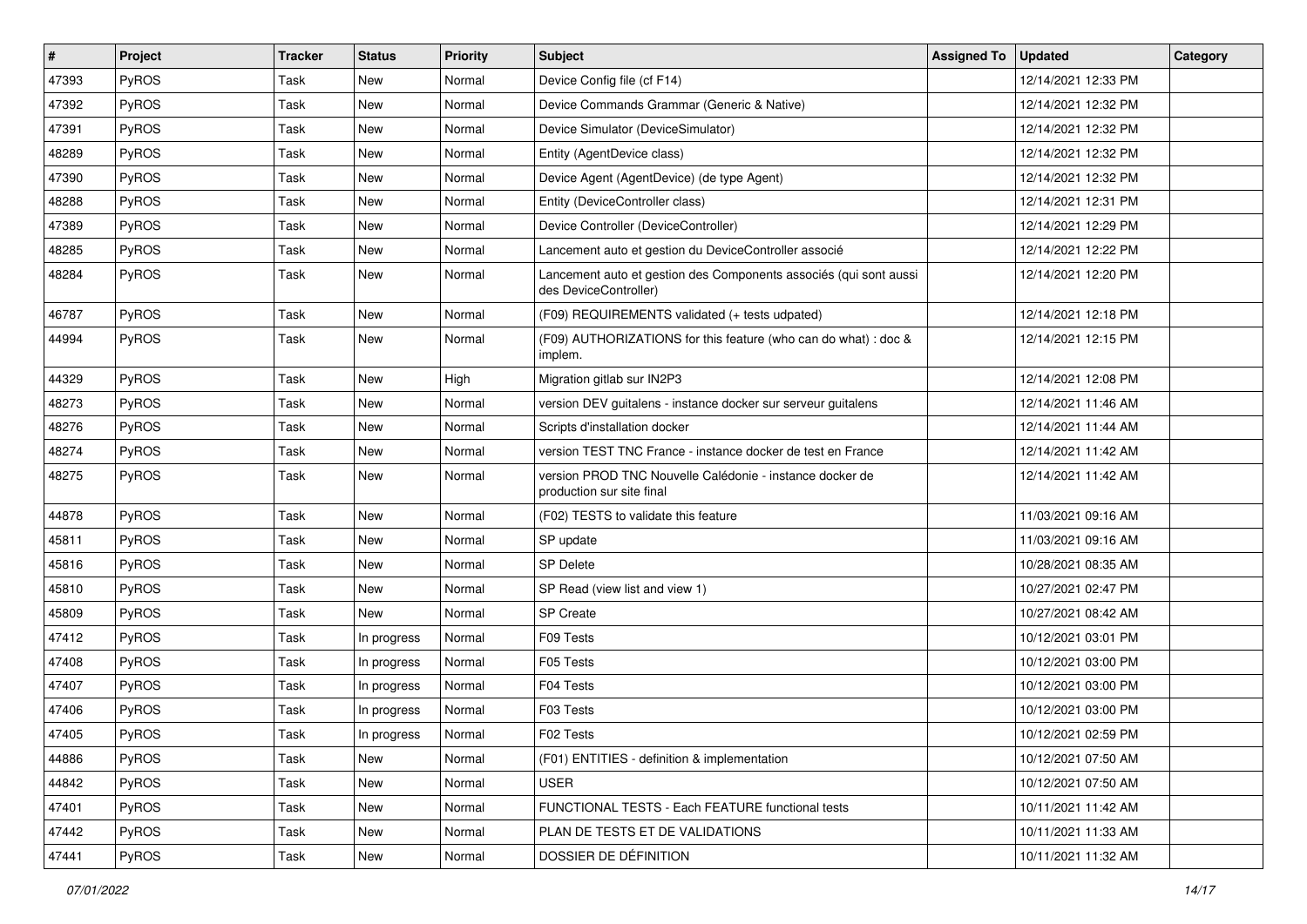| $\sharp$ | Project      | <b>Tracker</b> | <b>Status</b> | <b>Priority</b> | <b>Subject</b>                                                                             | <b>Assigned To</b> | <b>Updated</b>      | Category |
|----------|--------------|----------------|---------------|-----------------|--------------------------------------------------------------------------------------------|--------------------|---------------------|----------|
| 47393    | PyROS        | Task           | New           | Normal          | Device Config file (cf F14)                                                                |                    | 12/14/2021 12:33 PM |          |
| 47392    | PyROS        | Task           | <b>New</b>    | Normal          | Device Commands Grammar (Generic & Native)                                                 |                    | 12/14/2021 12:32 PM |          |
| 47391    | PyROS        | Task           | New           | Normal          | Device Simulator (DeviceSimulator)                                                         |                    | 12/14/2021 12:32 PM |          |
| 48289    | PyROS        | Task           | New           | Normal          | Entity (AgentDevice class)                                                                 |                    | 12/14/2021 12:32 PM |          |
| 47390    | PyROS        | Task           | <b>New</b>    | Normal          | Device Agent (AgentDevice) (de type Agent)                                                 |                    | 12/14/2021 12:32 PM |          |
| 48288    | PyROS        | Task           | <b>New</b>    | Normal          | Entity (DeviceController class)                                                            |                    | 12/14/2021 12:31 PM |          |
| 47389    | PyROS        | Task           | <b>New</b>    | Normal          | Device Controller (DeviceController)                                                       |                    | 12/14/2021 12:29 PM |          |
| 48285    | PyROS        | Task           | New           | Normal          | Lancement auto et gestion du DeviceController associé                                      |                    | 12/14/2021 12:22 PM |          |
| 48284    | PyROS        | Task           | New           | Normal          | Lancement auto et gestion des Components associés (qui sont aussi<br>des DeviceController) |                    | 12/14/2021 12:20 PM |          |
| 46787    | PyROS        | Task           | <b>New</b>    | Normal          | (F09) REQUIREMENTS validated (+ tests udpated)                                             |                    | 12/14/2021 12:18 PM |          |
| 44994    | PyROS        | Task           | New           | Normal          | (F09) AUTHORIZATIONS for this feature (who can do what) : doc &<br>implem.                 |                    | 12/14/2021 12:15 PM |          |
| 44329    | PyROS        | Task           | <b>New</b>    | High            | Migration gitlab sur IN2P3                                                                 |                    | 12/14/2021 12:08 PM |          |
| 48273    | PyROS        | Task           | New           | Normal          | version DEV guitalens - instance docker sur serveur guitalens                              |                    | 12/14/2021 11:46 AM |          |
| 48276    | PyROS        | Task           | New           | Normal          | Scripts d'installation docker                                                              |                    | 12/14/2021 11:44 AM |          |
| 48274    | PyROS        | Task           | New           | Normal          | version TEST TNC France - instance docker de test en France                                |                    | 12/14/2021 11:42 AM |          |
| 48275    | PyROS        | Task           | <b>New</b>    | Normal          | version PROD TNC Nouvelle Calédonie - instance docker de<br>production sur site final      |                    | 12/14/2021 11:42 AM |          |
| 44878    | PyROS        | Task           | <b>New</b>    | Normal          | (F02) TESTS to validate this feature                                                       |                    | 11/03/2021 09:16 AM |          |
| 45811    | PyROS        | Task           | New           | Normal          | SP update                                                                                  |                    | 11/03/2021 09:16 AM |          |
| 45816    | PyROS        | Task           | <b>New</b>    | Normal          | <b>SP Delete</b>                                                                           |                    | 10/28/2021 08:35 AM |          |
| 45810    | PyROS        | Task           | <b>New</b>    | Normal          | SP Read (view list and view 1)                                                             |                    | 10/27/2021 02:47 PM |          |
| 45809    | PyROS        | Task           | New           | Normal          | <b>SP Create</b>                                                                           |                    | 10/27/2021 08:42 AM |          |
| 47412    | PyROS        | Task           | In progress   | Normal          | F09 Tests                                                                                  |                    | 10/12/2021 03:01 PM |          |
| 47408    | PyROS        | Task           | In progress   | Normal          | F05 Tests                                                                                  |                    | 10/12/2021 03:00 PM |          |
| 47407    | PyROS        | Task           | In progress   | Normal          | F04 Tests                                                                                  |                    | 10/12/2021 03:00 PM |          |
| 47406    | PyROS        | Task           | In progress   | Normal          | F03 Tests                                                                                  |                    | 10/12/2021 03:00 PM |          |
| 47405    | PyROS        | Task           | In progress   | Normal          | F02 Tests                                                                                  |                    | 10/12/2021 02:59 PM |          |
| 44886    | <b>PyROS</b> | Task           | New           | Normal          | (F01) ENTITIES - definition & implementation                                               |                    | 10/12/2021 07:50 AM |          |
| 44842    | PyROS        | Task           | New           | Normal          | <b>USER</b>                                                                                |                    | 10/12/2021 07:50 AM |          |
| 47401    | PyROS        | Task           | New           | Normal          | FUNCTIONAL TESTS - Each FEATURE functional tests                                           |                    | 10/11/2021 11:42 AM |          |
| 47442    | PyROS        | Task           | New           | Normal          | PLAN DE TESTS ET DE VALIDATIONS                                                            |                    | 10/11/2021 11:33 AM |          |
| 47441    | PyROS        | Task           | New           | Normal          | DOSSIER DE DÉFINITION                                                                      |                    | 10/11/2021 11:32 AM |          |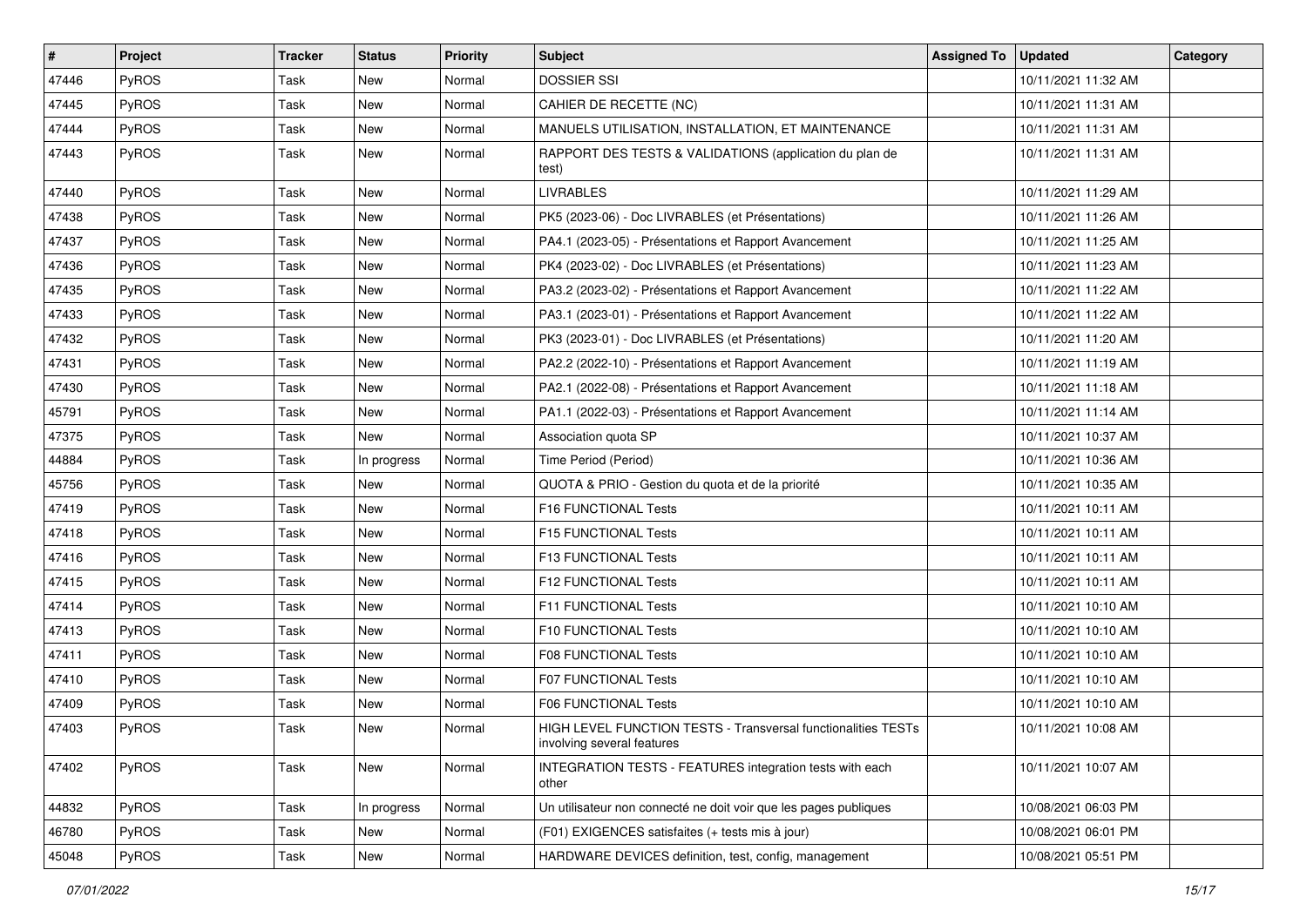| #     | Project      | <b>Tracker</b> | <b>Status</b> | <b>Priority</b> | <b>Subject</b>                                                                              | <b>Assigned To</b> | <b>Updated</b>      | Category |
|-------|--------------|----------------|---------------|-----------------|---------------------------------------------------------------------------------------------|--------------------|---------------------|----------|
| 47446 | <b>PyROS</b> | Task           | <b>New</b>    | Normal          | <b>DOSSIER SSI</b>                                                                          |                    | 10/11/2021 11:32 AM |          |
| 47445 | PyROS        | Task           | New           | Normal          | CAHIER DE RECETTE (NC)                                                                      |                    | 10/11/2021 11:31 AM |          |
| 47444 | PyROS        | Task           | <b>New</b>    | Normal          | MANUELS UTILISATION, INSTALLATION, ET MAINTENANCE                                           |                    | 10/11/2021 11:31 AM |          |
| 47443 | PyROS        | Task           | <b>New</b>    | Normal          | RAPPORT DES TESTS & VALIDATIONS (application du plan de<br>test)                            |                    | 10/11/2021 11:31 AM |          |
| 47440 | PyROS        | Task           | <b>New</b>    | Normal          | <b>LIVRABLES</b>                                                                            |                    | 10/11/2021 11:29 AM |          |
| 47438 | PyROS        | Task           | <b>New</b>    | Normal          | PK5 (2023-06) - Doc LIVRABLES (et Présentations)                                            |                    | 10/11/2021 11:26 AM |          |
| 47437 | <b>PyROS</b> | Task           | New           | Normal          | PA4.1 (2023-05) - Présentations et Rapport Avancement                                       |                    | 10/11/2021 11:25 AM |          |
| 47436 | PyROS        | Task           | New           | Normal          | PK4 (2023-02) - Doc LIVRABLES (et Présentations)                                            |                    | 10/11/2021 11:23 AM |          |
| 47435 | PyROS        | Task           | <b>New</b>    | Normal          | PA3.2 (2023-02) - Présentations et Rapport Avancement                                       |                    | 10/11/2021 11:22 AM |          |
| 47433 | <b>PyROS</b> | Task           | <b>New</b>    | Normal          | PA3.1 (2023-01) - Présentations et Rapport Avancement                                       |                    | 10/11/2021 11:22 AM |          |
| 47432 | PyROS        | Task           | <b>New</b>    | Normal          | PK3 (2023-01) - Doc LIVRABLES (et Présentations)                                            |                    | 10/11/2021 11:20 AM |          |
| 47431 | PyROS        | Task           | New           | Normal          | PA2.2 (2022-10) - Présentations et Rapport Avancement                                       |                    | 10/11/2021 11:19 AM |          |
| 47430 | PyROS        | Task           | New           | Normal          | PA2.1 (2022-08) - Présentations et Rapport Avancement                                       |                    | 10/11/2021 11:18 AM |          |
| 45791 | PyROS        | Task           | <b>New</b>    | Normal          | PA1.1 (2022-03) - Présentations et Rapport Avancement                                       |                    | 10/11/2021 11:14 AM |          |
| 47375 | <b>PyROS</b> | Task           | <b>New</b>    | Normal          | Association quota SP                                                                        |                    | 10/11/2021 10:37 AM |          |
| 44884 | PyROS        | Task           | In progress   | Normal          | Time Period (Period)                                                                        |                    | 10/11/2021 10:36 AM |          |
| 45756 | PyROS        | Task           | New           | Normal          | QUOTA & PRIO - Gestion du quota et de la priorité                                           |                    | 10/11/2021 10:35 AM |          |
| 47419 | <b>PyROS</b> | Task           | <b>New</b>    | Normal          | F16 FUNCTIONAL Tests                                                                        |                    | 10/11/2021 10:11 AM |          |
| 47418 | PyROS        | Task           | <b>New</b>    | Normal          | F15 FUNCTIONAL Tests                                                                        |                    | 10/11/2021 10:11 AM |          |
| 47416 | PyROS        | Task           | New           | Normal          | F13 FUNCTIONAL Tests                                                                        |                    | 10/11/2021 10:11 AM |          |
| 47415 | PyROS        | Task           | New           | Normal          | F12 FUNCTIONAL Tests                                                                        |                    | 10/11/2021 10:11 AM |          |
| 47414 | PyROS        | Task           | <b>New</b>    | Normal          | F11 FUNCTIONAL Tests                                                                        |                    | 10/11/2021 10:10 AM |          |
| 47413 | <b>PyROS</b> | Task           | <b>New</b>    | Normal          | F10 FUNCTIONAL Tests                                                                        |                    | 10/11/2021 10:10 AM |          |
| 47411 | PyROS        | Task           | <b>New</b>    | Normal          | F08 FUNCTIONAL Tests                                                                        |                    | 10/11/2021 10:10 AM |          |
| 47410 | PyROS        | Task           | New           | Normal          | F07 FUNCTIONAL Tests                                                                        |                    | 10/11/2021 10:10 AM |          |
| 47409 | <b>PyROS</b> | Task           | New           | Normal          | F06 FUNCTIONAL Tests                                                                        |                    | 10/11/2021 10:10 AM |          |
| 47403 | PyROS        | Task           | <b>New</b>    | Normal          | HIGH LEVEL FUNCTION TESTS - Transversal functionalities TESTs<br>involving several features |                    | 10/11/2021 10:08 AM |          |
| 47402 | PyROS        | Task           | New           | Normal          | INTEGRATION TESTS - FEATURES integration tests with each<br>other                           |                    | 10/11/2021 10:07 AM |          |
| 44832 | <b>PyROS</b> | Task           | In progress   | Normal          | Un utilisateur non connecté ne doit voir que les pages publiques                            |                    | 10/08/2021 06:03 PM |          |
| 46780 | PyROS        | Task           | New           | Normal          | (F01) EXIGENCES satisfaites (+ tests mis à jour)                                            |                    | 10/08/2021 06:01 PM |          |
| 45048 | PyROS        | Task           | New           | Normal          | HARDWARE DEVICES definition, test, config, management                                       |                    | 10/08/2021 05:51 PM |          |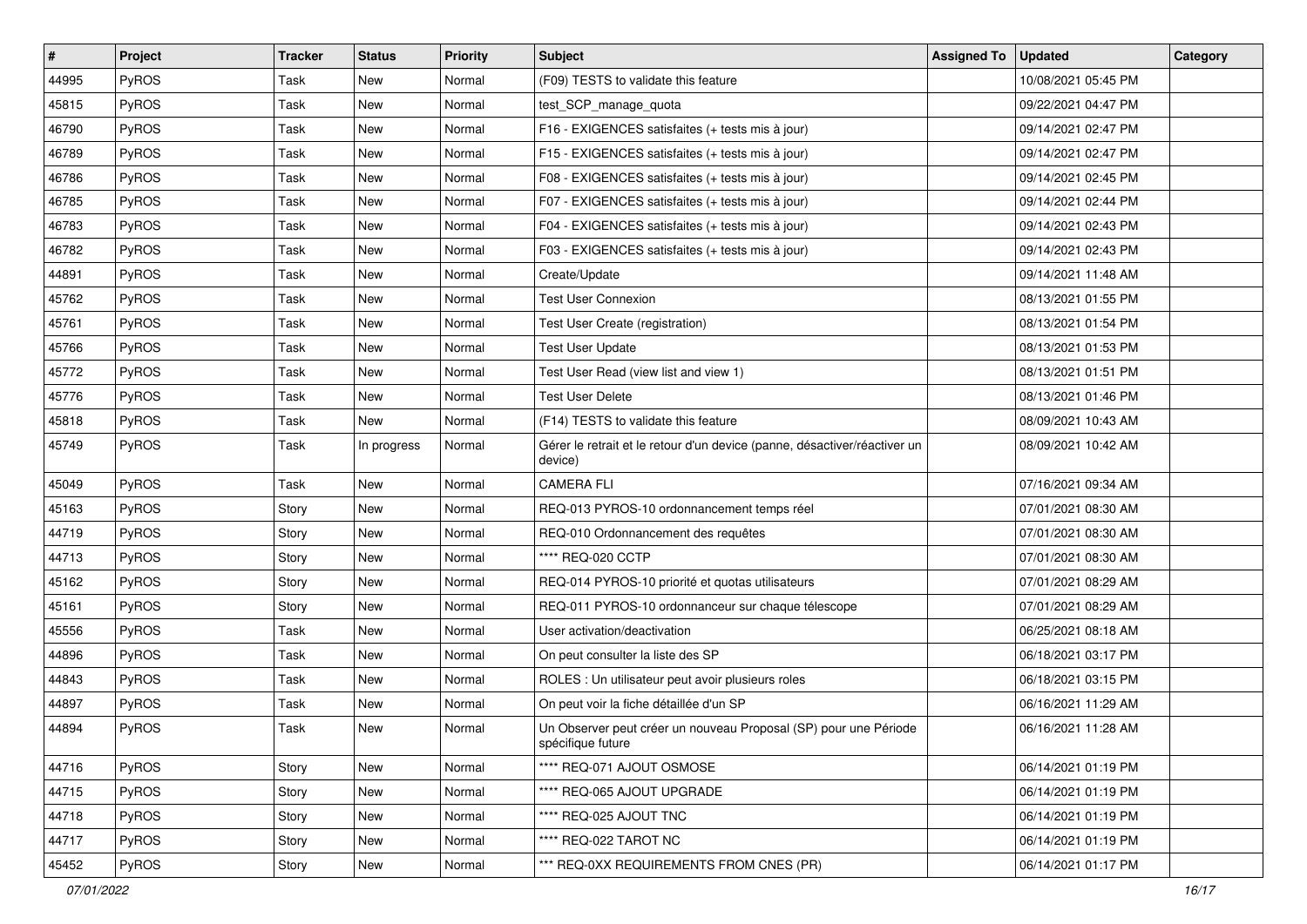| #     | Project      | <b>Tracker</b> | <b>Status</b> | <b>Priority</b> | Subject                                                                               | <b>Assigned To</b> | <b>Updated</b>      | Category |
|-------|--------------|----------------|---------------|-----------------|---------------------------------------------------------------------------------------|--------------------|---------------------|----------|
| 44995 | <b>PyROS</b> | Task           | New           | Normal          | (F09) TESTS to validate this feature                                                  |                    | 10/08/2021 05:45 PM |          |
| 45815 | PyROS        | Task           | <b>New</b>    | Normal          | test_SCP_manage_quota                                                                 |                    | 09/22/2021 04:47 PM |          |
| 46790 | <b>PyROS</b> | Task           | New           | Normal          | F16 - EXIGENCES satisfaites (+ tests mis à jour)                                      |                    | 09/14/2021 02:47 PM |          |
| 46789 | PyROS        | Task           | New           | Normal          | F15 - EXIGENCES satisfaites (+ tests mis à jour)                                      |                    | 09/14/2021 02:47 PM |          |
| 46786 | PyROS        | Task           | <b>New</b>    | Normal          | F08 - EXIGENCES satisfaites (+ tests mis à jour)                                      |                    | 09/14/2021 02:45 PM |          |
| 46785 | <b>PyROS</b> | Task           | <b>New</b>    | Normal          | F07 - EXIGENCES satisfaites (+ tests mis à jour)                                      |                    | 09/14/2021 02:44 PM |          |
| 46783 | <b>PyROS</b> | Task           | <b>New</b>    | Normal          | F04 - EXIGENCES satisfaites (+ tests mis à jour)                                      |                    | 09/14/2021 02:43 PM |          |
| 46782 | <b>PyROS</b> | Task           | New           | Normal          | F03 - EXIGENCES satisfaites (+ tests mis à jour)                                      |                    | 09/14/2021 02:43 PM |          |
| 44891 | <b>PyROS</b> | Task           | New           | Normal          | Create/Update                                                                         |                    | 09/14/2021 11:48 AM |          |
| 45762 | <b>PyROS</b> | Task           | <b>New</b>    | Normal          | <b>Test User Connexion</b>                                                            |                    | 08/13/2021 01:55 PM |          |
| 45761 | <b>PyROS</b> | Task           | <b>New</b>    | Normal          | Test User Create (registration)                                                       |                    | 08/13/2021 01:54 PM |          |
| 45766 | <b>PyROS</b> | Task           | <b>New</b>    | Normal          | <b>Test User Update</b>                                                               |                    | 08/13/2021 01:53 PM |          |
| 45772 | PyROS        | Task           | New           | Normal          | Test User Read (view list and view 1)                                                 |                    | 08/13/2021 01:51 PM |          |
| 45776 | <b>PyROS</b> | Task           | New           | Normal          | <b>Test User Delete</b>                                                               |                    | 08/13/2021 01:46 PM |          |
| 45818 | <b>PyROS</b> | Task           | <b>New</b>    | Normal          | (F14) TESTS to validate this feature                                                  |                    | 08/09/2021 10:43 AM |          |
| 45749 | <b>PyROS</b> | Task           | In progress   | Normal          | Gérer le retrait et le retour d'un device (panne, désactiver/réactiver un<br>device)  |                    | 08/09/2021 10:42 AM |          |
| 45049 | PyROS        | Task           | <b>New</b>    | Normal          | <b>CAMERA FLI</b>                                                                     |                    | 07/16/2021 09:34 AM |          |
| 45163 | <b>PyROS</b> | Story          | <b>New</b>    | Normal          | REQ-013 PYROS-10 ordonnancement temps réel                                            |                    | 07/01/2021 08:30 AM |          |
| 44719 | <b>PyROS</b> | Story          | <b>New</b>    | Normal          | REQ-010 Ordonnancement des requêtes                                                   |                    | 07/01/2021 08:30 AM |          |
| 44713 | PyROS        | Story          | New           | Normal          | **** REQ-020 CCTP                                                                     |                    | 07/01/2021 08:30 AM |          |
| 45162 | <b>PyROS</b> | Story          | New           | Normal          | REQ-014 PYROS-10 priorité et quotas utilisateurs                                      |                    | 07/01/2021 08:29 AM |          |
| 45161 | PyROS        | Story          | <b>New</b>    | Normal          | REQ-011 PYROS-10 ordonnanceur sur chaque télescope                                    |                    | 07/01/2021 08:29 AM |          |
| 45556 | <b>PyROS</b> | Task           | New           | Normal          | User activation/deactivation                                                          |                    | 06/25/2021 08:18 AM |          |
| 44896 | PyROS        | Task           | <b>New</b>    | Normal          | On peut consulter la liste des SP                                                     |                    | 06/18/2021 03:17 PM |          |
| 44843 | <b>PyROS</b> | Task           | New           | Normal          | ROLES : Un utilisateur peut avoir plusieurs roles                                     |                    | 06/18/2021 03:15 PM |          |
| 44897 | <b>PyROS</b> | Task           | New           | Normal          | On peut voir la fiche détaillée d'un SP                                               |                    | 06/16/2021 11:29 AM |          |
| 44894 | PyROS        | Task           | <b>New</b>    | Normal          | Un Observer peut créer un nouveau Proposal (SP) pour une Période<br>spécifique future |                    | 06/16/2021 11:28 AM |          |
| 44716 | <b>PyROS</b> | Story          | New           | Normal          | **** REQ-071 AJOUT OSMOSE                                                             |                    | 06/14/2021 01:19 PM |          |
| 44715 | PyROS        | Story          | New           | Normal          | **** REQ-065 AJOUT UPGRADE                                                            |                    | 06/14/2021 01:19 PM |          |
| 44718 | <b>PyROS</b> | Story          | New           | Normal          | **** REQ-025 AJOUT TNC                                                                |                    | 06/14/2021 01:19 PM |          |
| 44717 | PyROS        | Story          | New           | Normal          | **** REQ-022 TAROT NC                                                                 |                    | 06/14/2021 01:19 PM |          |
| 45452 | PyROS        | Story          | New           | Normal          | *** REQ-0XX REQUIREMENTS FROM CNES (PR)                                               |                    | 06/14/2021 01:17 PM |          |